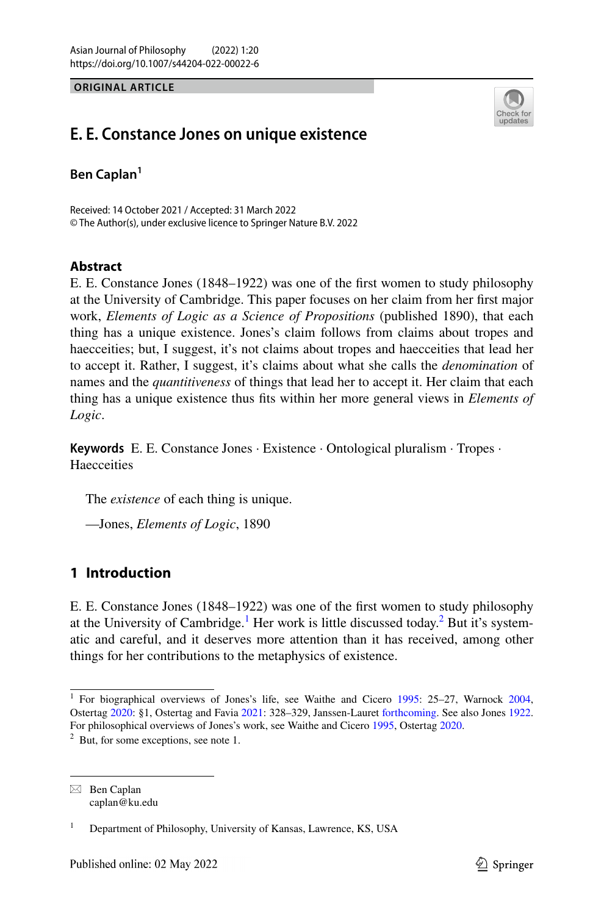**ORIGINAL ARTICLE**



# **E. E. Constance Jones on unique existence**

**Ben Caplan1**

Received: 14 October 2021 / Accepted: 31 March 2022 © The Author(s), under exclusive licence to Springer Nature B.V. 2022

# **Abstract**

E. E. Constance Jones (1848–1922) was one of the frst women to study philosophy at the University of Cambridge. This paper focuses on her claim from her frst major work, *Elements of Logic as a Science of Propositions* (published 1890), that each thing has a unique existence. Jones's claim follows from claims about tropes and haecceities; but, I suggest, it's not claims about tropes and haecceities that lead her to accept it. Rather, I suggest, it's claims about what she calls the *denomination* of names and the *quantitiveness* of things that lead her to accept it. Her claim that each thing has a unique existence thus fts within her more general views in *Elements of Logic*.

**Keywords** E. E. Constance Jones · Existence · Ontological pluralism · Tropes · **Haecceities** 

The *existence* of each thing is unique.

—Jones, *Elements of Logic*, 1890

# **1 Introduction**

E. E. Constance Jones (1848–1922) was one of the frst women to study philosophy at the University of Cambridge.<sup>[1](#page-0-0)</sup> Her work is little discussed today.<sup>[2](#page-0-1)</sup> But it's systematic and careful, and it deserves more attention than it has received, among other things for her contributions to the metaphysics of existence.

 $\boxtimes$  Ben Caplan caplan@ku.edu

<span id="page-0-1"></span><span id="page-0-0"></span><sup>&</sup>lt;sup>1</sup> For biographical overviews of Jones's life, see Waithe and Cicero [1995](#page-23-0): 25–27, Warnock [2004](#page-23-1), Ostertag [2020](#page-22-0): §1, Ostertag and Favia [2021:](#page-22-1) 328–329, Janssen-Lauret [forthcoming.](#page-22-2) See also Jones [1922](#page-21-0). For philosophical overviews of Jones's work, see Waithe and Cicero [1995,](#page-23-0) Ostertag [2020](#page-22-0). <sup>2</sup> But, for some exceptions, see note 1.

<sup>1</sup> Department of Philosophy, University of Kansas, Lawrence, KS, USA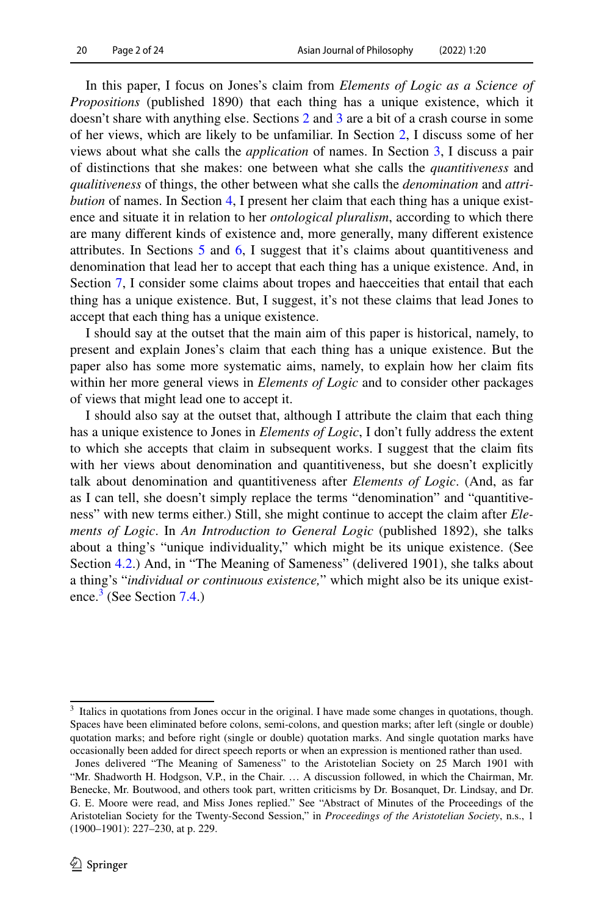In this paper, I focus on Jones's claim from *Elements of Logic as a Science of Propositions* (published 1890) that each thing has a unique existence, which it doesn't share with anything else. Sections [2](#page-2-0) and [3](#page-4-0) are a bit of a crash course in some of her views, which are likely to be unfamiliar. In Section [2](#page-2-0), I discuss some of her views about what she calls the *application* of names. In Section [3,](#page-4-0) I discuss a pair of distinctions that she makes: one between what she calls the *quantitiveness* and *qualitiveness* of things, the other between what she calls the *denomination* and *attribution* of names. In Section [4](#page-6-0), I present her claim that each thing has a unique existence and situate it in relation to her *ontological pluralism*, according to which there are many diferent kinds of existence and, more generally, many diferent existence attributes. In Sections [5](#page-9-0) and [6](#page-11-0), I suggest that it's claims about quantitiveness and denomination that lead her to accept that each thing has a unique existence. And, in Section [7](#page-16-0), I consider some claims about tropes and haecceities that entail that each thing has a unique existence. But, I suggest, it's not these claims that lead Jones to accept that each thing has a unique existence.

I should say at the outset that the main aim of this paper is historical, namely, to present and explain Jones's claim that each thing has a unique existence. But the paper also has some more systematic aims, namely, to explain how her claim fts within her more general views in *Elements of Logic* and to consider other packages of views that might lead one to accept it.

I should also say at the outset that, although I attribute the claim that each thing has a unique existence to Jones in *Elements of Logic*, I don't fully address the extent to which she accepts that claim in subsequent works. I suggest that the claim fts with her views about denomination and quantitiveness, but she doesn't explicitly talk about denomination and quantitiveness after *Elements of Logic*. (And, as far as I can tell, she doesn't simply replace the terms "denomination" and "quantitiveness" with new terms either.) Still, she might continue to accept the claim after *Elements of Logic*. In *An Introduction to General Logic* (published 1892), she talks about a thing's "unique individuality," which might be its unique existence. (See Section [4.2](#page-7-0).) And, in "The Meaning of Sameness" (delivered 1901), she talks about a thing's "*individual or continuous existence,*" which might also be its unique exist-ence.<sup>[3](#page-1-0)</sup> (See Section [7.4](#page-19-0).)

<span id="page-1-0"></span><sup>&</sup>lt;sup>3</sup> Italics in quotations from Jones occur in the original. I have made some changes in quotations, though. Spaces have been eliminated before colons, semi-colons, and question marks; after left (single or double) quotation marks; and before right (single or double) quotation marks. And single quotation marks have occasionally been added for direct speech reports or when an expression is mentioned rather than used.

Jones delivered "The Meaning of Sameness" to the Aristotelian Society on 25 March 1901 with "Mr. Shadworth H. Hodgson, V.P., in the Chair. … A discussion followed, in which the Chairman, Mr. Benecke, Mr. Boutwood, and others took part, written criticisms by Dr. Bosanquet, Dr. Lindsay, and Dr. G. E. Moore were read, and Miss Jones replied." See "Abstract of Minutes of the Proceedings of the Aristotelian Society for the Twenty-Second Session," in *Proceedings of the Aristotelian Society*, n.s., 1 (1900–1901): 227–230, at p. 229.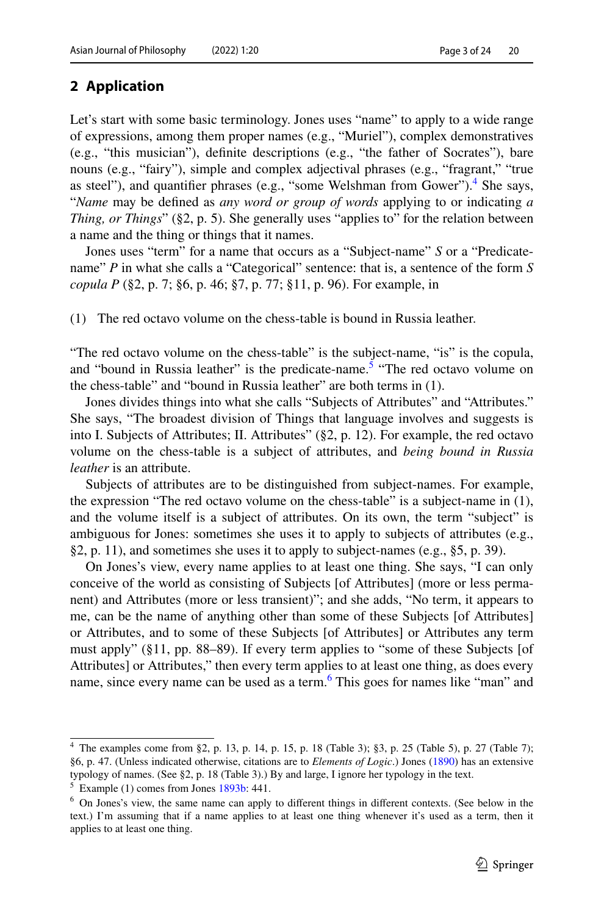# <span id="page-2-0"></span>**2 Application**

Let's start with some basic terminology. Jones uses "name" to apply to a wide range of expressions, among them proper names (e.g., "Muriel"), complex demonstratives (e.g., "this musician"), defnite descriptions (e.g., "the father of Socrates"), bare nouns (e.g., "fairy"), simple and complex adjectival phrases (e.g., "fragrant," "true as steel"), and quantifier phrases (e.g., "some Welshman from Gower").<sup>[4](#page-2-1)</sup> She says, "*Name* may be defned as *any word or group of words* applying to or indicating *a Thing, or Things*" (§2, p. 5). She generally uses "applies to" for the relation between a name and the thing or things that it names.

Jones uses "term" for a name that occurs as a "Subject-name" *S* or a "Predicatename" *P* in what she calls a "Categorical" sentence: that is, a sentence of the form *S copula P* (§2, p. 7; §6, p. 46; §7, p. 77; §11, p. 96). For example, in

(1) The red octavo volume on the chess-table is bound in Russia leather.

"The red octavo volume on the chess-table" is the subject-name, "is" is the copula, and "bound in Russia leather" is the predicate-name.<sup>[5](#page-2-2)</sup> "The red octavo volume on the chess-table" and "bound in Russia leather" are both terms in (1).

Jones divides things into what she calls "Subjects of Attributes" and "Attributes." She says, "The broadest division of Things that language involves and suggests is into I. Subjects of Attributes; II. Attributes" (§2, p. 12). For example, the red octavo volume on the chess-table is a subject of attributes, and *being bound in Russia leather* is an attribute.

Subjects of attributes are to be distinguished from subject-names. For example, the expression "The red octavo volume on the chess-table" is a subject-name in (1), and the volume itself is a subject of attributes. On its own, the term "subject" is ambiguous for Jones: sometimes she uses it to apply to subjects of attributes (e.g., §2, p. 11), and sometimes she uses it to apply to subject-names (e.g., §5, p. 39).

On Jones's view, every name applies to at least one thing. She says, "I can only conceive of the world as consisting of Subjects [of Attributes] (more or less permanent) and Attributes (more or less transient)"; and she adds, "No term, it appears to me, can be the name of anything other than some of these Subjects [of Attributes] or Attributes, and to some of these Subjects [of Attributes] or Attributes any term must apply" (§11, pp. 88–89). If every term applies to "some of these Subjects [of Attributes] or Attributes," then every term applies to at least one thing, as does every name, since every name can be used as a term.<sup>6</sup> This goes for names like "man" and

<span id="page-2-1"></span><sup>4</sup> The examples come from §2, p. 13, p. 14, p. 15, p. 18 (Table 3); §3, p. 25 (Table 5), p. 27 (Table 7); §6, p. 47. (Unless indicated otherwise, citations are to *Elements of Logic*.) Jones ([1890\)](#page-21-1) has an extensive typology of names. (See §2, p. 18 (Table 3).) By and large, I ignore her typology in the text.

<span id="page-2-2"></span> $<sup>5</sup>$  Example (1) comes from Jones [1893b](#page-21-2): 441.</sup>

<span id="page-2-3"></span><sup>6</sup> On Jones's view, the same name can apply to diferent things in diferent contexts. (See below in the text.) I'm assuming that if a name applies to at least one thing whenever it's used as a term, then it applies to at least one thing.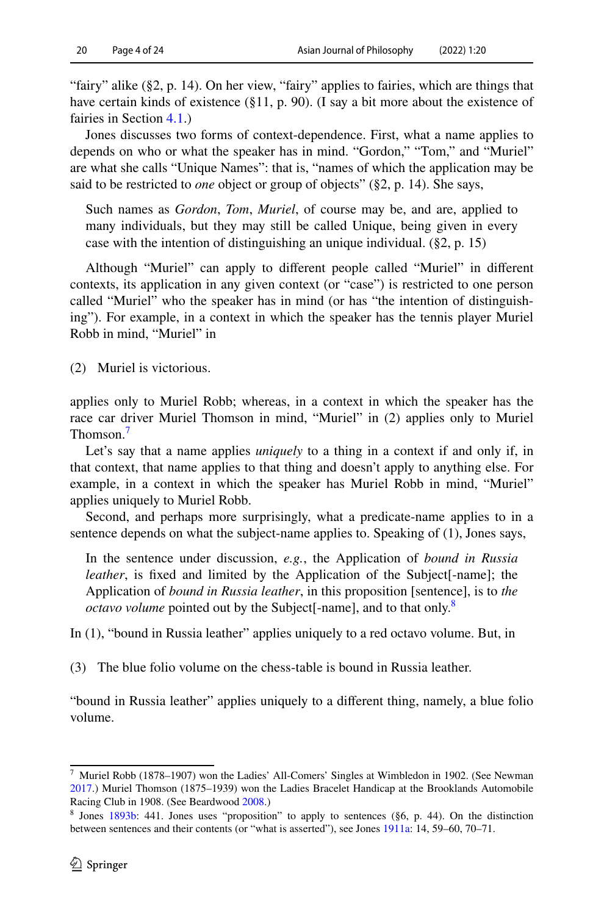"fairy" alike (§2, p. 14). On her view, "fairy" applies to fairies, which are things that have certain kinds of existence (§11, p. 90). (I say a bit more about the existence of fairies in Section [4.1.](#page-6-1))

Jones discusses two forms of context-dependence. First, what a name applies to depends on who or what the speaker has in mind. "Gordon," "Tom," and "Muriel" are what she calls "Unique Names": that is, "names of which the application may be said to be restricted to *one* object or group of objects" (§2, p. 14). She says,

Such names as *Gordon*, *Tom*, *Muriel*, of course may be, and are, applied to many individuals, but they may still be called Unique, being given in every case with the intention of distinguishing an unique individual. (§2, p. 15)

Although "Muriel" can apply to diferent people called "Muriel" in diferent contexts, its application in any given context (or "case") is restricted to one person called "Muriel" who the speaker has in mind (or has "the intention of distinguishing"). For example, in a context in which the speaker has the tennis player Muriel Robb in mind, "Muriel" in

(2) Muriel is victorious.

applies only to Muriel Robb; whereas, in a context in which the speaker has the race car driver Muriel Thomson in mind, "Muriel" in (2) applies only to Muriel Thomson.<sup>7</sup>

Let's say that a name applies *uniquely* to a thing in a context if and only if, in that context, that name applies to that thing and doesn't apply to anything else. For example, in a context in which the speaker has Muriel Robb in mind, "Muriel" applies uniquely to Muriel Robb.

Second, and perhaps more surprisingly, what a predicate-name applies to in a sentence depends on what the subject-name applies to. Speaking of (1), Jones says,

In the sentence under discussion, *e.g.*, the Application of *bound in Russia leather*, is fixed and limited by the Application of the Subject[-name]; the Application of *bound in Russia leather*, in this proposition [sentence], is to *the octavo volume* pointed out by the Subject[-name], and to that only.<sup>8</sup>

In (1), "bound in Russia leather" applies uniquely to a red octavo volume. But, in

(3) The blue folio volume on the chess-table is bound in Russia leather.

"bound in Russia leather" applies uniquely to a diferent thing, namely, a blue folio volume.

<span id="page-3-0"></span><sup>7</sup> Muriel Robb (1878–1907) won the Ladies' All-Comers' Singles at Wimbledon in 1902. (See Newman [2017](#page-22-3).) Muriel Thomson (1875–1939) won the Ladies Bracelet Handicap at the Brooklands Automobile Racing Club in 1908. (See Beardwood [2008](#page-22-4).)

<span id="page-3-1"></span><sup>&</sup>lt;sup>8</sup> Jones [1893b](#page-21-2): 441. Jones uses "proposition" to apply to sentences ( $\S6$ , p. 44). On the distinction between sentences and their contents (or "what is asserted"), see Jones [1911a](#page-21-3): 14, 59–60, 70–71.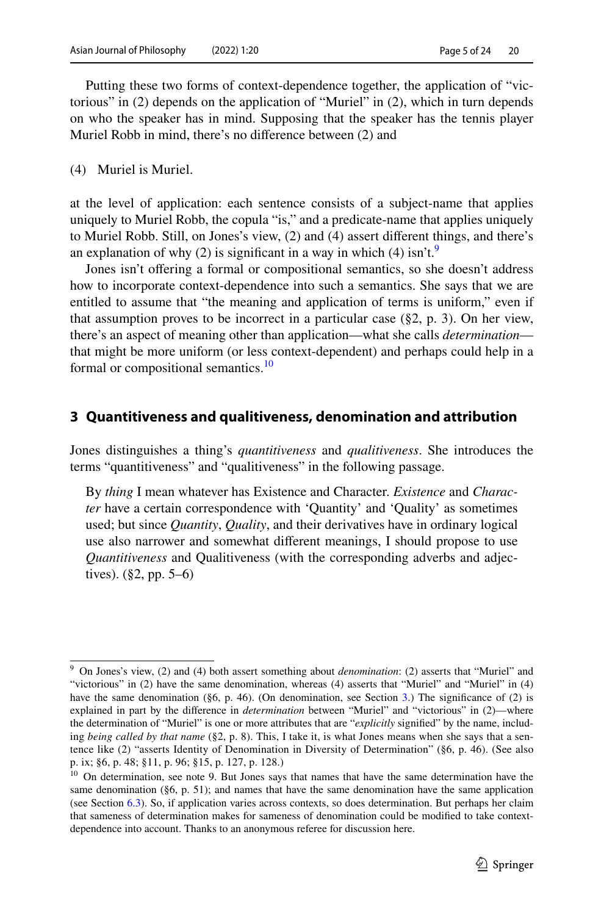Putting these two forms of context-dependence together, the application of "victorious" in (2) depends on the application of "Muriel" in (2), which in turn depends on who the speaker has in mind. Supposing that the speaker has the tennis player Muriel Robb in mind, there's no diference between (2) and

(4) Muriel is Muriel.

at the level of application: each sentence consists of a subject-name that applies uniquely to Muriel Robb, the copula "is," and a predicate-name that applies uniquely to Muriel Robb. Still, on Jones's view, (2) and (4) assert diferent things, and there's an explanation of why (2) is significant in a way in which (4) isn't.<sup>[9](#page-4-1)</sup>

Jones isn't ofering a formal or compositional semantics, so she doesn't address how to incorporate context-dependence into such a semantics. She says that we are entitled to assume that "the meaning and application of terms is uniform," even if that assumption proves to be incorrect in a particular case  $(\S 2, p. 3)$ . On her view, there's an aspect of meaning other than application—what she calls *determination* that might be more uniform (or less context-dependent) and perhaps could help in a formal or compositional semantics.<sup>[10](#page-4-2)</sup>

### <span id="page-4-0"></span>**3 Quantitiveness and qualitiveness, denomination and attribution**

Jones distinguishes a thing's *quantitiveness* and *qualitiveness*. She introduces the terms "quantitiveness" and "qualitiveness" in the following passage.

By *thing* I mean whatever has Existence and Character. *Existence* and *Character* have a certain correspondence with 'Quantity' and 'Quality' as sometimes used; but since *Quantity*, *Quality*, and their derivatives have in ordinary logical use also narrower and somewhat diferent meanings, I should propose to use *Quantitiveness* and Qualitiveness (with the corresponding adverbs and adjectives). (§2, pp. 5–6)

<span id="page-4-1"></span><sup>9</sup> On Jones's view, (2) and (4) both assert something about *denomination*: (2) asserts that "Muriel" and "victorious" in (2) have the same denomination, whereas (4) asserts that "Muriel" and "Muriel" in (4) have the same denomination (§6, p. 46). (On denomination, see Section [3.](#page-4-0)) The significance of (2) is explained in part by the diference in *determination* between "Muriel" and "victorious" in (2)—where the determination of "Muriel" is one or more attributes that are "*explicitly* signifed" by the name, including *being called by that name* (§2, p. 8). This, I take it, is what Jones means when she says that a sentence like (2) "asserts Identity of Denomination in Diversity of Determination" (§6, p. 46). (See also p. ix; §6, p. 48; §11, p. 96; §15, p. 127, p. 128.)

<span id="page-4-2"></span><sup>&</sup>lt;sup>10</sup> On determination, see note 9. But Jones says that names that have the same determination have the same denomination (§6, p. 51); and names that have the same denomination have the same application (see Section [6.3\)](#page-13-0). So, if application varies across contexts, so does determination. But perhaps her claim that sameness of determination makes for sameness of denomination could be modifed to take contextdependence into account. Thanks to an anonymous referee for discussion here.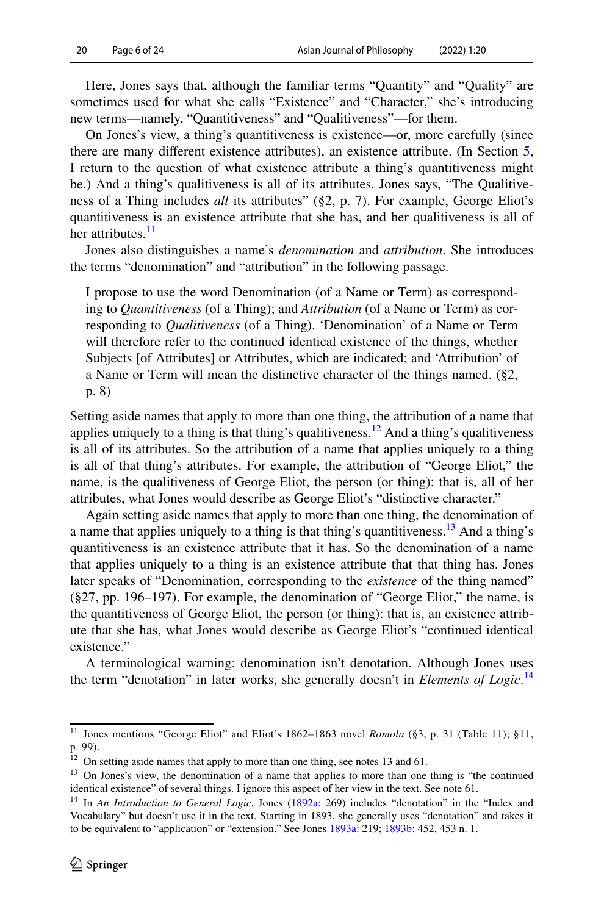Here, Jones says that, although the familiar terms "Quantity" and "Quality" are sometimes used for what she calls "Existence" and "Character," she's introducing new terms—namely, "Quantitiveness" and "Qualitiveness"—for them.

On Jones's view, a thing's quantitiveness is existence—or, more carefully (since there are many diferent existence attributes), an existence attribute. (In Section [5,](#page-9-0) I return to the question of what existence attribute a thing's quantitiveness might be.) And a thing's qualitiveness is all of its attributes. Jones says, "The Qualitiveness of a Thing includes *all* its attributes" (§2, p. 7). For example, George Eliot's quantitiveness is an existence attribute that she has, and her qualitiveness is all of her attributes.<sup>[11](#page-5-0)</sup>

Jones also distinguishes a name's *denomination* and *attribution*. She introduces the terms "denomination" and "attribution" in the following passage.

I propose to use the word Denomination (of a Name or Term) as corresponding to *Quantitiveness* (of a Thing); and *Attribution* (of a Name or Term) as corresponding to *Qualitiveness* (of a Thing). 'Denomination' of a Name or Term will therefore refer to the continued identical existence of the things, whether Subjects [of Attributes] or Attributes, which are indicated; and 'Attribution' of a Name or Term will mean the distinctive character of the things named. (§2, p. 8)

Setting aside names that apply to more than one thing, the attribution of a name that applies uniquely to a thing is that thing's qualitiveness.<sup>[12](#page-5-1)</sup> And a thing's qualitiveness is all of its attributes. So the attribution of a name that applies uniquely to a thing is all of that thing's attributes. For example, the attribution of "George Eliot," the name, is the qualitiveness of George Eliot, the person (or thing): that is, all of her attributes, what Jones would describe as George Eliot's "distinctive character."

Again setting aside names that apply to more than one thing, the denomination of a name that applies uniquely to a thing is that thing's quantitiveness.<sup>13</sup> And a thing's quantitiveness is an existence attribute that it has. So the denomination of a name that applies uniquely to a thing is an existence attribute that that thing has. Jones later speaks of "Denomination, corresponding to the *existence* of the thing named" (§27, pp. 196–197). For example, the denomination of "George Eliot," the name, is the quantitiveness of George Eliot, the person (or thing): that is, an existence attribute that she has, what Jones would describe as George Eliot's "continued identical existence."

A terminological warning: denomination isn't denotation. Although Jones uses the term "denotation" in later works, she generally doesn't in *Elements of Logic*. [14](#page-5-3)

<span id="page-5-0"></span><sup>&</sup>lt;sup>11</sup> Jones mentions "George Eliot" and Eliot's 1862-1863 novel *Romola* (§3, p. 31 (Table 11); §11, p. 99).

<span id="page-5-1"></span> $12$  On setting aside names that apply to more than one thing, see notes 13 and 61.

<span id="page-5-2"></span><sup>&</sup>lt;sup>13</sup> On Jones's view, the denomination of a name that applies to more than one thing is "the continued identical existence" of several things. I ignore this aspect of her view in the text. See note 61.

<span id="page-5-3"></span><sup>&</sup>lt;sup>14</sup> In *An Introduction to General Logic*, Jones ([1892a](#page-21-4): 269) includes "denotation" in the "Index and Vocabulary" but doesn't use it in the text. Starting in 1893, she generally uses "denotation" and takes it to be equivalent to "application" or "extension." See Jones [1893a](#page-21-5): 219; [1893b:](#page-21-2) 452, 453 n. 1.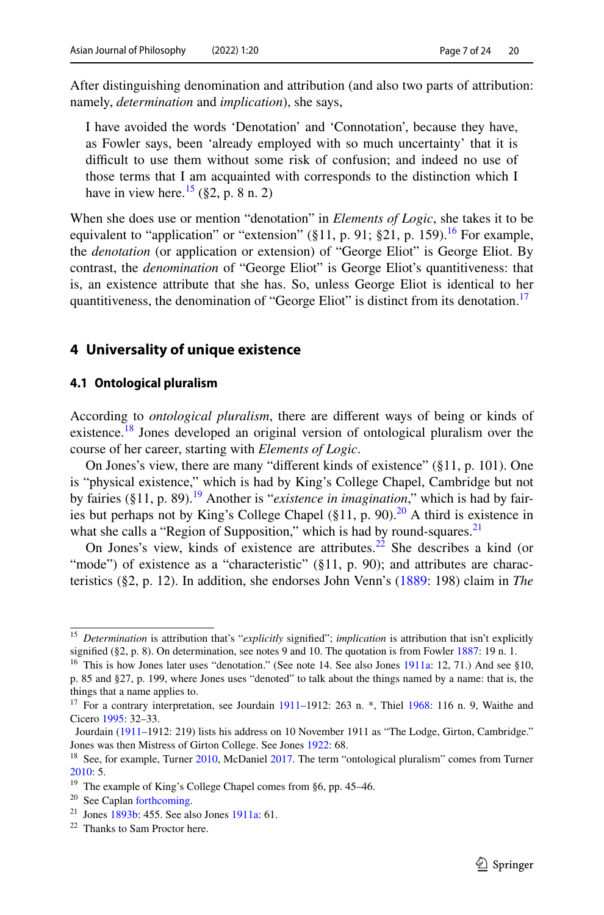After distinguishing denomination and attribution (and also two parts of attribution: namely, *determination* and *implication*), she says,

I have avoided the words 'Denotation' and 'Connotation', because they have, as Fowler says, been 'already employed with so much uncertainty' that it is difficult to use them without some risk of confusion; and indeed no use of those terms that I am acquainted with corresponds to the distinction which I have in view here.<sup>15</sup> (§2, p. 8 n. 2)

When she does use or mention "denotation" in *Elements of Logic*, she takes it to be equivalent to "application" or "extension" (§11, p. 91; §21, p. 159).<sup>16</sup> For example, the *denotation* (or application or extension) of "George Eliot" is George Eliot. By contrast, the *denomination* of "George Eliot" is George Eliot's quantitiveness: that is, an existence attribute that she has. So, unless George Eliot is identical to her quantitiveness, the denomination of "George Eliot" is distinct from its denotation.<sup>[17](#page-6-4)</sup>

### <span id="page-6-0"></span>**4 Universality of unique existence**

#### <span id="page-6-1"></span>**4.1 Ontological pluralism**

According to *ontological pluralism*, there are diferent ways of being or kinds of existence.<sup>18</sup> Jones developed an original version of ontological pluralism over the course of her career, starting with *Elements of Logic*.

On Jones's view, there are many "diferent kinds of existence" (§11, p. 101). One is "physical existence," which is had by King's College Chapel, Cambridge but not by fairies (§11, p. 89).<sup>[19](#page-6-6)</sup> Another is "*existence in imagination*," which is had by fairies but perhaps not by King's College Chapel (§11, p. 90).<sup>20</sup> A third is existence in what she calls a "Region of Supposition," which is had by round-squares. $21$ 

On Jones's view, kinds of existence are attributes.<sup>22</sup> She describes a kind (or "mode") of existence as a "characteristic"  $(\S11, p. 90)$ ; and attributes are characteristics (§2, p. 12). In addition, she endorses John Venn's ([1889:](#page-23-2) 198) claim in *The* 

<span id="page-6-2"></span><sup>15</sup> *Determination* is attribution that's "*explicitly* signifed"; *implication* is attribution that isn't explicitly signified  $(\S 2, p. 8)$ . On determination, see notes 9 and 10. The quotation is from Fowler [1887](#page-22-10): 19 n. 1.

<span id="page-6-3"></span><sup>&</sup>lt;sup>16</sup> This is how Jones later uses "denotation." (See note 14. See also Jones [1911a](#page-21-3): 12, 71.) And see §10, p. 85 and §27, p. 199, where Jones uses "denoted" to talk about the things named by a name: that is, the things that a name applies to.

<span id="page-6-4"></span><sup>&</sup>lt;sup>17</sup> For a contrary interpretation, see Jourdain  $1911-1912$ : 263 n.  $*$ , Thiel [1968:](#page-22-6) 116 n. 9, Waithe and Cicero [1995](#page-23-0): 32–33.

Jourdain [\(1911](#page-22-5)–1912: 219) lists his address on 10 November 1911 as "The Lodge, Girton, Cambridge." Jones was then Mistress of Girton College. See Jones [1922](#page-21-0): 68.

<span id="page-6-5"></span><sup>&</sup>lt;sup>18</sup> See, for example, Turner [2010](#page-22-7), McDaniel [2017.](#page-22-8) The term "ontological pluralism" comes from Turner [2010](#page-22-7): 5.

<span id="page-6-6"></span><sup>19</sup> The example of King's College Chapel comes from §6, pp. 45–46.

<span id="page-6-7"></span><sup>20</sup> See Caplan [forthcoming](#page-22-9).

<span id="page-6-8"></span><sup>&</sup>lt;sup>21</sup> Jones [1893b](#page-21-2): 455. See also Jones [1911a](#page-21-3): 61.

<span id="page-6-9"></span><sup>&</sup>lt;sup>22</sup> Thanks to Sam Proctor here.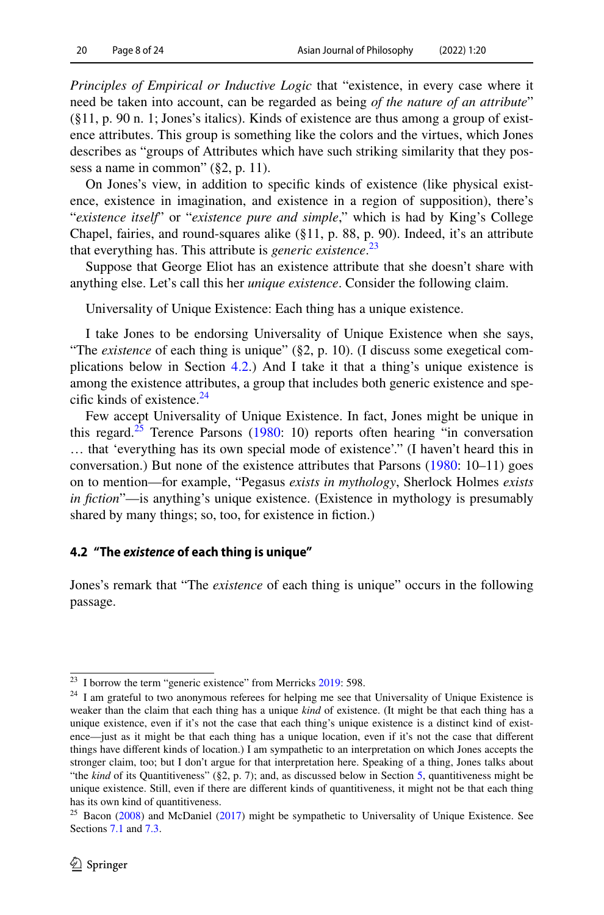*Principles of Empirical or Inductive Logic* that "existence, in every case where it need be taken into account, can be regarded as being *of the nature of an attribute*" (§11, p. 90 n. 1; Jones's italics). Kinds of existence are thus among a group of existence attributes. This group is something like the colors and the virtues, which Jones describes as "groups of Attributes which have such striking similarity that they possess a name in common" (§2, p. 11).

On Jones's view, in addition to specifc kinds of existence (like physical existence, existence in imagination, and existence in a region of supposition), there's "*existence itself*" or "*existence pure and simple*," which is had by King's College Chapel, fairies, and round-squares alike (§11, p. 88, p. 90). Indeed, it's an attribute that everything has. This attribute is *generic existence*. [23](#page-7-1)

Suppose that George Eliot has an existence attribute that she doesn't share with anything else. Let's call this her *unique existence*. Consider the following claim.

Universality of Unique Existence: Each thing has a unique existence.

I take Jones to be endorsing Universality of Unique Existence when she says, "The *existence* of each thing is unique" (§2, p. 10). (I discuss some exegetical complications below in Section [4.2.](#page-7-0)) And I take it that a thing's unique existence is among the existence attributes, a group that includes both generic existence and specific kinds of existence. $^{24}$  $^{24}$  $^{24}$ 

Few accept Universality of Unique Existence. In fact, Jones might be unique in this regard. $25$  Terence Parsons [\(1980](#page-22-11): 10) reports often hearing "in conversation … that 'everything has its own special mode of existence'." (I haven't heard this in conversation.) But none of the existence attributes that Parsons ([1980:](#page-22-11) 10–11) goes on to mention—for example, "Pegasus *exists in mythology*, Sherlock Holmes *exists in fction*"—is anything's unique existence. (Existence in mythology is presumably shared by many things; so, too, for existence in fiction.)

### <span id="page-7-0"></span>**4.2 "The** *existence* **of each thing is unique"**

Jones's remark that "The *existence* of each thing is unique" occurs in the following passage.

<span id="page-7-1"></span> $23$  I borrow the term "generic existence" from Merricks  $2019$ : 598.

<span id="page-7-2"></span><sup>&</sup>lt;sup>24</sup> I am grateful to two anonymous referees for helping me see that Universality of Unique Existence is weaker than the claim that each thing has a unique *kind* of existence. (It might be that each thing has a unique existence, even if it's not the case that each thing's unique existence is a distinct kind of existence—just as it might be that each thing has a unique location, even if it's not the case that diferent things have diferent kinds of location.) I am sympathetic to an interpretation on which Jones accepts the stronger claim, too; but I don't argue for that interpretation here. Speaking of a thing, Jones talks about "the *kind* of its Quantitiveness" (§2, p. 7); and, as discussed below in Section [5,](#page-9-0) quantitiveness might be unique existence. Still, even if there are diferent kinds of quantitiveness, it might not be that each thing has its own kind of quantitiveness.

<span id="page-7-3"></span> $25$  Bacon ([2008\)](#page-22-13) and McDaniel ([2017\)](#page-22-8) might be sympathetic to Universality of Unique Existence. See Sections [7.1](#page-16-1) and [7.3.](#page-18-0)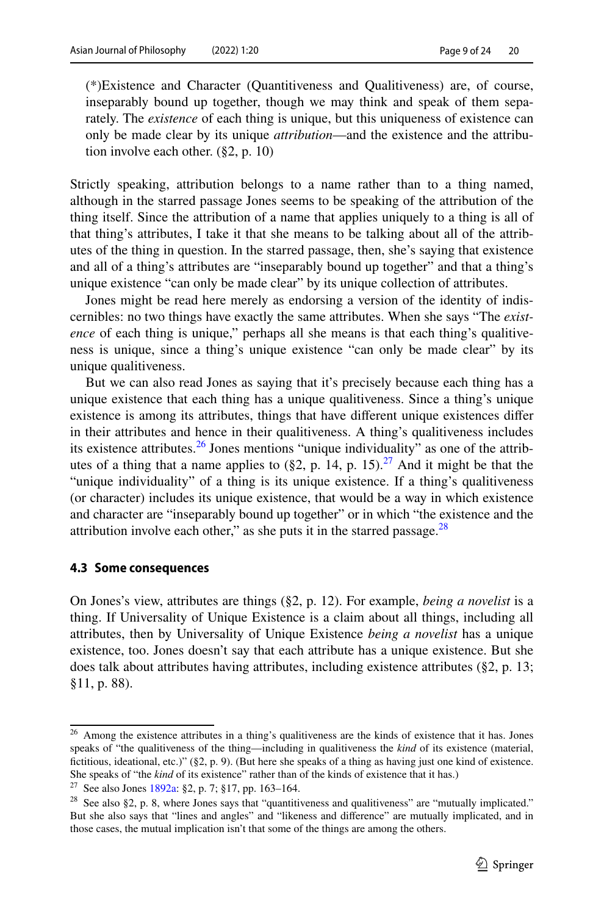(\*)Existence and Character (Quantitiveness and Qualitiveness) are, of course, inseparably bound up together, though we may think and speak of them separately. The *existence* of each thing is unique, but this uniqueness of existence can only be made clear by its unique *attribution*—and the existence and the attribution involve each other. (§2, p. 10)

Strictly speaking, attribution belongs to a name rather than to a thing named, although in the starred passage Jones seems to be speaking of the attribution of the thing itself. Since the attribution of a name that applies uniquely to a thing is all of that thing's attributes, I take it that she means to be talking about all of the attributes of the thing in question. In the starred passage, then, she's saying that existence and all of a thing's attributes are "inseparably bound up together" and that a thing's unique existence "can only be made clear" by its unique collection of attributes.

Jones might be read here merely as endorsing a version of the identity of indiscernibles: no two things have exactly the same attributes. When she says "The *existence* of each thing is unique," perhaps all she means is that each thing's qualitiveness is unique, since a thing's unique existence "can only be made clear" by its unique qualitiveness.

But we can also read Jones as saying that it's precisely because each thing has a unique existence that each thing has a unique qualitiveness. Since a thing's unique existence is among its attributes, things that have diferent unique existences difer in their attributes and hence in their qualitiveness. A thing's qualitiveness includes its existence attributes. $26$  Jones mentions "unique individuality" as one of the attributes of a thing that a name applies to  $(\S 2, p. 14, p. 15)$ .<sup>[27](#page-8-1)</sup> And it might be that the "unique individuality" of a thing is its unique existence. If a thing's qualitiveness (or character) includes its unique existence, that would be a way in which existence and character are "inseparably bound up together" or in which "the existence and the attribution involve each other," as she puts it in the starred passage. $^{28}$ 

#### **4.3 Some consequences**

On Jones's view, attributes are things (§2, p. 12). For example, *being a novelist* is a thing. If Universality of Unique Existence is a claim about all things, including all attributes, then by Universality of Unique Existence *being a novelist* has a unique existence, too. Jones doesn't say that each attribute has a unique existence. But she does talk about attributes having attributes, including existence attributes (§2, p. 13; §11, p. 88).

<span id="page-8-0"></span><sup>&</sup>lt;sup>26</sup> Among the existence attributes in a thing's qualitiveness are the kinds of existence that it has. Jones speaks of "the qualitiveness of the thing—including in qualitiveness the *kind* of its existence (material, fctitious, ideational, etc.)" (§2, p. 9). (But here she speaks of a thing as having just one kind of existence. She speaks of "the *kind* of its existence" rather than of the kinds of existence that it has.)

<span id="page-8-1"></span><sup>&</sup>lt;sup>27</sup> See also Jones [1892a](#page-21-4): §2, p. 7; §17, pp. 163–164.

<span id="page-8-2"></span><sup>&</sup>lt;sup>28</sup> See also §2, p. 8, where Jones says that "quantitiveness and qualitiveness" are "mutually implicated." But she also says that "lines and angles" and "likeness and diference" are mutually implicated, and in those cases, the mutual implication isn't that some of the things are among the others.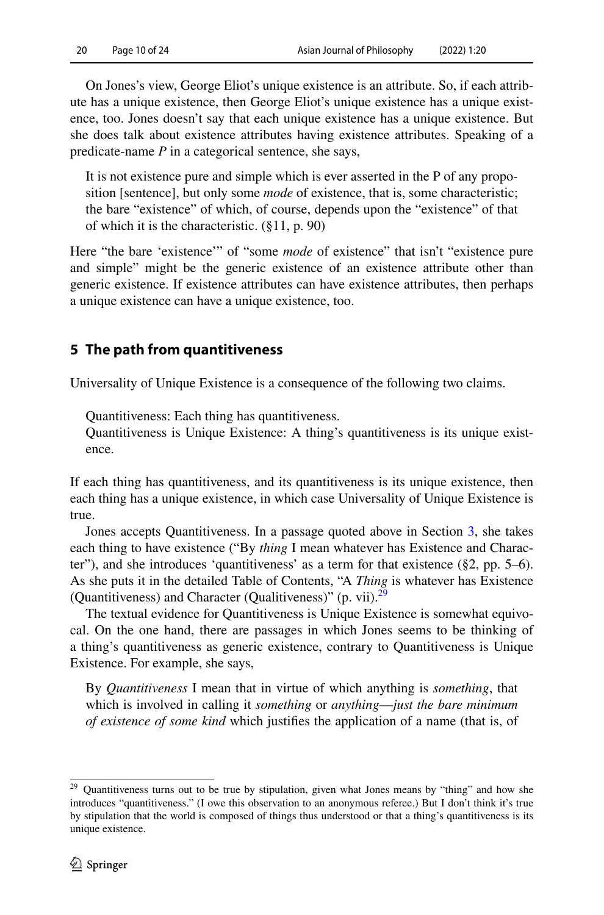On Jones's view, George Eliot's unique existence is an attribute. So, if each attribute has a unique existence, then George Eliot's unique existence has a unique existence, too. Jones doesn't say that each unique existence has a unique existence. But she does talk about existence attributes having existence attributes. Speaking of a predicate-name *P* in a categorical sentence, she says,

It is not existence pure and simple which is ever asserted in the P of any proposition [sentence], but only some *mode* of existence, that is, some characteristic; the bare "existence" of which, of course, depends upon the "existence" of that of which it is the characteristic. (§11, p. 90)

Here "the bare 'existence'" of "some *mode* of existence" that isn't "existence pure and simple" might be the generic existence of an existence attribute other than generic existence. If existence attributes can have existence attributes, then perhaps a unique existence can have a unique existence, too.

### <span id="page-9-0"></span>**5 The path from quantitiveness**

Universality of Unique Existence is a consequence of the following two claims.

Quantitiveness: Each thing has quantitiveness.

Quantitiveness is Unique Existence: A thing's quantitiveness is its unique existence.

If each thing has quantitiveness, and its quantitiveness is its unique existence, then each thing has a unique existence, in which case Universality of Unique Existence is true.

Jones accepts Quantitiveness. In a passage quoted above in Section [3](#page-4-0), she takes each thing to have existence ("By *thing* I mean whatever has Existence and Character"), and she introduces 'quantitiveness' as a term for that existence (§2, pp. 5–6). As she puts it in the detailed Table of Contents, "A *Thing* is whatever has Existence (Quantitiveness) and Character (Qualitiveness)" (p. vii). $2^{\circ}$ 

The textual evidence for Quantitiveness is Unique Existence is somewhat equivocal. On the one hand, there are passages in which Jones seems to be thinking of a thing's quantitiveness as generic existence, contrary to Quantitiveness is Unique Existence. For example, she says,

By *Quantitiveness* I mean that in virtue of which anything is *something*, that which is involved in calling it *something* or *anything*—*just the bare minimum of existence of some kind* which justifes the application of a name (that is, of

<span id="page-9-1"></span><sup>&</sup>lt;sup>29</sup> Quantitiveness turns out to be true by stipulation, given what Jones means by "thing" and how she introduces "quantitiveness." (I owe this observation to an anonymous referee.) But I don't think it's true by stipulation that the world is composed of things thus understood or that a thing's quantitiveness is its unique existence.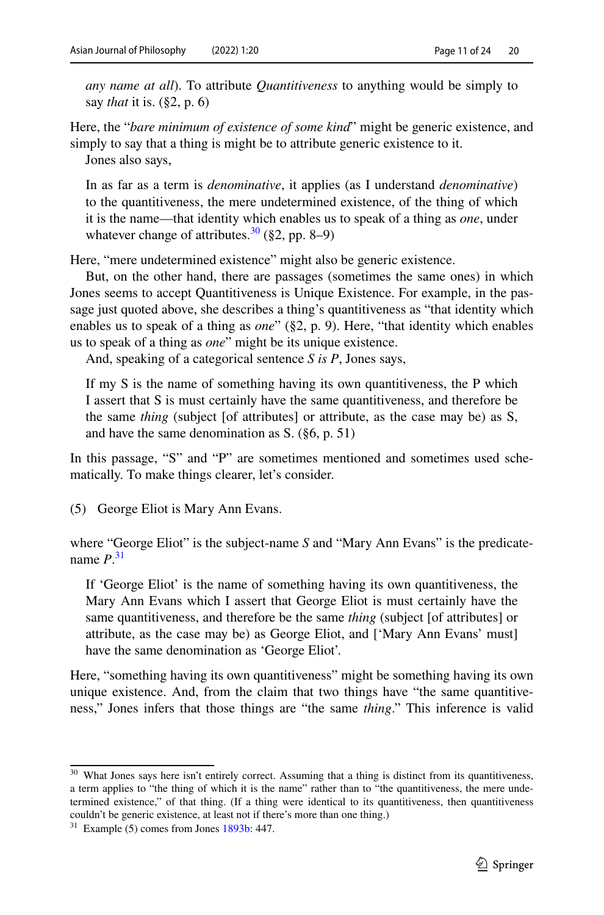*any name at all*). To attribute *Quantitiveness* to anything would be simply to say *that* it is. (§2, p. 6)

Here, the "*bare minimum of existence of some kind*" might be generic existence, and simply to say that a thing is might be to attribute generic existence to it.

Jones also says,

In as far as a term is *denominative*, it applies (as I understand *denominative*) to the quantitiveness, the mere undetermined existence, of the thing of which it is the name—that identity which enables us to speak of a thing as *one*, under whatever change of attributes.<sup>30</sup> (§2, pp. 8–9)

Here, "mere undetermined existence" might also be generic existence.

But, on the other hand, there are passages (sometimes the same ones) in which Jones seems to accept Quantitiveness is Unique Existence. For example, in the passage just quoted above, she describes a thing's quantitiveness as "that identity which enables us to speak of a thing as *one*" (§2, p. 9). Here, "that identity which enables us to speak of a thing as *one*" might be its unique existence.

And, speaking of a categorical sentence *S is P*, Jones says,

If my S is the name of something having its own quantitiveness, the P which I assert that S is must certainly have the same quantitiveness, and therefore be the same *thing* (subject [of attributes] or attribute, as the case may be) as S, and have the same denomination as S. (§6, p. 51)

In this passage, "S" and "P" are sometimes mentioned and sometimes used schematically. To make things clearer, let's consider.

(5) George Eliot is Mary Ann Evans.

where "George Eliot" is the subject-name *S* and "Mary Ann Evans" is the predicatename *P*. [31](#page-10-1)

If 'George Eliot' is the name of something having its own quantitiveness, the Mary Ann Evans which I assert that George Eliot is must certainly have the same quantitiveness, and therefore be the same *thing* (subject [of attributes] or attribute, as the case may be) as George Eliot, and ['Mary Ann Evans' must] have the same denomination as 'George Eliot'.

Here, "something having its own quantitiveness" might be something having its own unique existence. And, from the claim that two things have "the same quantitiveness," Jones infers that those things are "the same *thing*." This inference is valid

<span id="page-10-0"></span><sup>&</sup>lt;sup>30</sup> What Jones says here isn't entirely correct. Assuming that a thing is distinct from its quantitiveness, a term applies to "the thing of which it is the name" rather than to "the quantitiveness, the mere undetermined existence," of that thing. (If a thing were identical to its quantitiveness, then quantitiveness couldn't be generic existence, at least not if there's more than one thing.)

<span id="page-10-1"></span> $31$  Example (5) comes from Jones  $1893b$ : 447.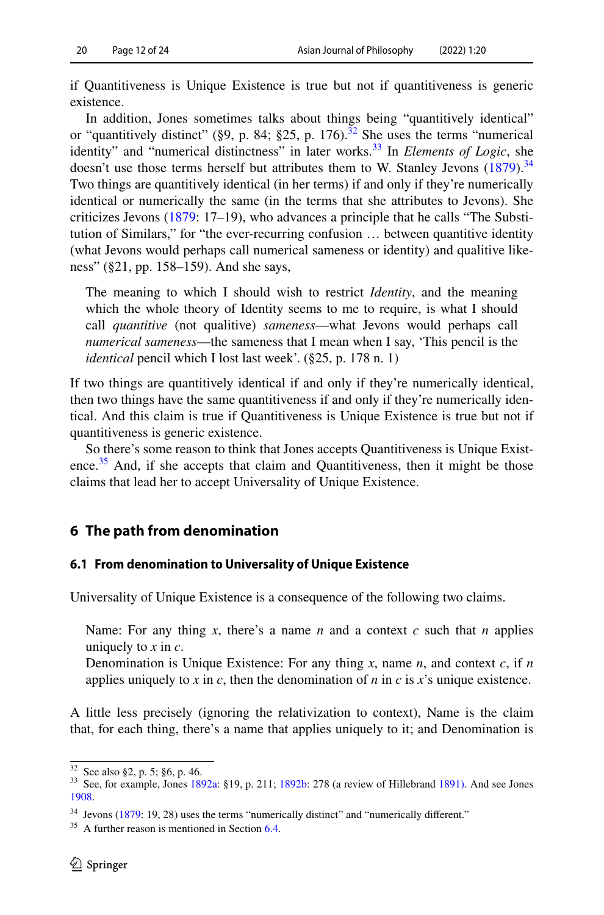if Quantitiveness is Unique Existence is true but not if quantitiveness is generic existence.

In addition, Jones sometimes talks about things being "quantitively identical" or "quantitively distinct" (§9, p. 84; §25, p. 176).<sup>[32](#page-11-1)</sup> She uses the terms "numerical identity" and "numerical distinctness" in later works.<sup>33</sup> In *Elements of Logic*, she doesn't use those terms herself but attributes them to W. Stanley Jevons  $(1879)$  $(1879)$ .<sup>[34](#page-11-3)</sup> Two things are quantitively identical (in her terms) if and only if they're numerically identical or numerically the same (in the terms that she attributes to Jevons). She criticizes Jevons ([1879:](#page-22-14) 17–19), who advances a principle that he calls "The Substitution of Similars," for "the ever-recurring confusion … between quantitive identity (what Jevons would perhaps call numerical sameness or identity) and qualitive likeness" (§21, pp. 158–159). And she says,

The meaning to which I should wish to restrict *Identity*, and the meaning which the whole theory of Identity seems to me to require, is what I should call *quantitive* (not qualitive) *sameness*—what Jevons would perhaps call *numerical sameness*—the sameness that I mean when I say, 'This pencil is the *identical* pencil which I lost last week'. (§25, p. 178 n. 1)

If two things are quantitively identical if and only if they're numerically identical, then two things have the same quantitiveness if and only if they're numerically identical. And this claim is true if Quantitiveness is Unique Existence is true but not if quantitiveness is generic existence.

So there's some reason to think that Jones accepts Quantitiveness is Unique Existence. $35$  And, if she accepts that claim and Quantitiveness, then it might be those claims that lead her to accept Universality of Unique Existence.

### <span id="page-11-0"></span>**6 The path from denomination**

#### **6.1 From denomination to Universality of Unique Existence**

Universality of Unique Existence is a consequence of the following two claims.

Name: For any thing *x*, there's a name *n* and a context *c* such that *n* applies uniquely to *x* in *c*.

Denomination is Unique Existence: For any thing *x*, name *n*, and context *c*, if *n* applies uniquely to *x* in *c*, then the denomination of *n* in *c* is *x*'s unique existence.

A little less precisely (ignoring the relativization to context), Name is the claim that, for each thing, there's a name that applies uniquely to it; and Denomination is

<span id="page-11-2"></span>

<span id="page-11-1"></span><sup>&</sup>lt;sup>32</sup> See also §2, p. 5; §6, p. 46.  $\frac{33}{13}$  See, for example, Jones [1892a](#page-21-4): §19, p. 211; [1892b](#page-21-6): 278 (a review of Hillebrand [1891\)](#page-22-15). And see Jones [1908](#page-21-7).

<span id="page-11-3"></span><sup>&</sup>lt;sup>34</sup> Jevons ([1879:](#page-22-14) 19, 28) uses the terms "numerically distinct" and "numerically different."

<span id="page-11-4"></span><sup>&</sup>lt;sup>35</sup> A further reason is mentioned in Section [6.4.](#page-15-0)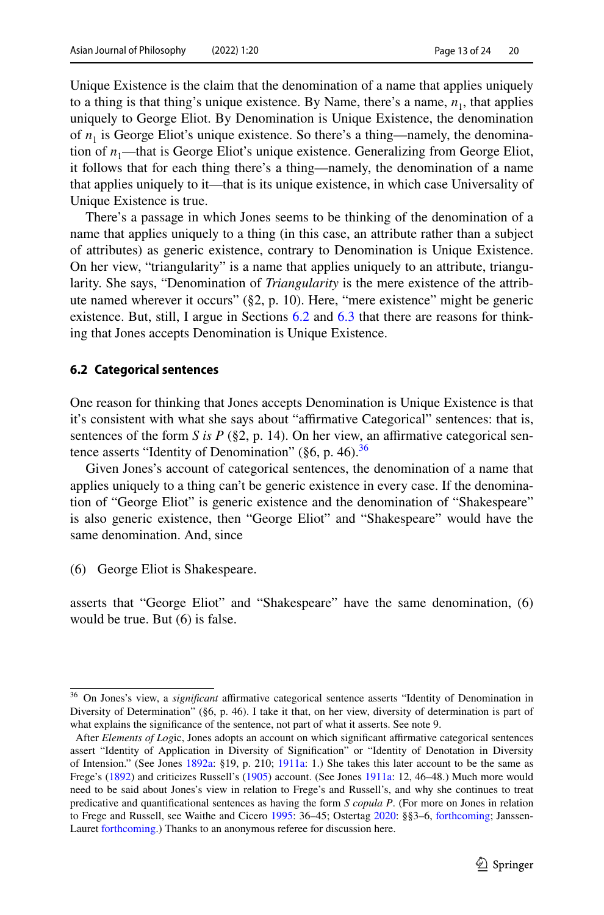Unique Existence is the claim that the denomination of a name that applies uniquely to a thing is that thing's unique existence. By Name, there's a name,  $n_1$ , that applies uniquely to George Eliot. By Denomination is Unique Existence, the denomination of  $n_1$  is George Eliot's unique existence. So there's a thing—namely, the denomination of  $n_1$ —that is George Eliot's unique existence. Generalizing from George Eliot, it follows that for each thing there's a thing—namely, the denomination of a name that applies uniquely to it—that is its unique existence, in which case Universality of Unique Existence is true.

There's a passage in which Jones seems to be thinking of the denomination of a name that applies uniquely to a thing (in this case, an attribute rather than a subject of attributes) as generic existence, contrary to Denomination is Unique Existence. On her view, "triangularity" is a name that applies uniquely to an attribute, triangularity. She says, "Denomination of *Triangularity* is the mere existence of the attribute named wherever it occurs" (§2, p. 10). Here, "mere existence" might be generic existence. But, still, I argue in Sections [6.2](#page-12-0) and [6.3](#page-13-0) that there are reasons for thinking that Jones accepts Denomination is Unique Existence.

#### <span id="page-12-0"></span>**6.2 Categorical sentences**

One reason for thinking that Jones accepts Denomination is Unique Existence is that it's consistent with what she says about "affirmative Categorical" sentences: that is, sentences of the form *S is P* ( $\S$ 2, p. 14). On her view, an affirmative categorical sentence asserts "Identity of Denomination" ( $\S6$ , p. 46).<sup>36</sup>

Given Jones's account of categorical sentences, the denomination of a name that applies uniquely to a thing can't be generic existence in every case. If the denomination of "George Eliot" is generic existence and the denomination of "Shakespeare" is also generic existence, then "George Eliot" and "Shakespeare" would have the same denomination. And, since

(6) George Eliot is Shakespeare.

asserts that "George Eliot" and "Shakespeare" have the same denomination, (6) would be true. But (6) is false.

<span id="page-12-1"></span><sup>&</sup>lt;sup>36</sup> On Jones's view, a *significant* affirmative categorical sentence asserts "Identity of Denomination in Diversity of Determination" (§6, p. 46). I take it that, on her view, diversity of determination is part of what explains the signifcance of the sentence, not part of what it asserts. See note 9.

After *Elements of Log*ic, Jones adopts an account on which signifcant afrmative categorical sentences assert "Identity of Application in Diversity of Signifcation" or "Identity of Denotation in Diversity of Intension." (See Jones [1892a:](#page-21-4) §19, p. 210; [1911a:](#page-21-3) 1.) She takes this later account to be the same as Frege's [\(1892](#page-22-16)) and criticizes Russell's [\(1905](#page-22-11)) account. (See Jones [1911a](#page-21-3): 12, 46–48.) Much more would need to be said about Jones's view in relation to Frege's and Russell's, and why she continues to treat predicative and quantifcational sentences as having the form *S copula P*. (For more on Jones in relation to Frege and Russell, see Waithe and Cicero [1995](#page-23-0): 36–45; Ostertag [2020](#page-22-0): §§3–6, [forthcoming;](#page-22-17) JanssenLauret [forthcoming](#page-22-2).) Thanks to an anonymous referee for discussion here.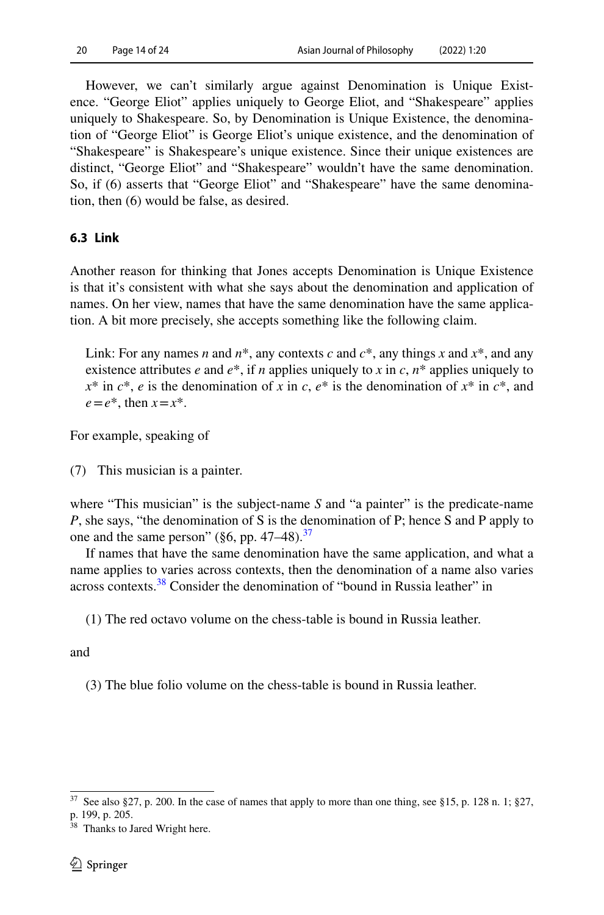However, we can't similarly argue against Denomination is Unique Existence. "George Eliot" applies uniquely to George Eliot, and "Shakespeare" applies uniquely to Shakespeare. So, by Denomination is Unique Existence, the denomination of "George Eliot" is George Eliot's unique existence, and the denomination of "Shakespeare" is Shakespeare's unique existence. Since their unique existences are distinct, "George Eliot" and "Shakespeare" wouldn't have the same denomination. So, if (6) asserts that "George Eliot" and "Shakespeare" have the same denomination, then (6) would be false, as desired.

### <span id="page-13-0"></span>**6.3 Link**

Another reason for thinking that Jones accepts Denomination is Unique Existence is that it's consistent with what she says about the denomination and application of names. On her view, names that have the same denomination have the same application. A bit more precisely, she accepts something like the following claim.

Link: For any names *n* and  $n^*$ , any contexts *c* and  $c^*$ , any things *x* and  $x^*$ , and any existence attributes *e* and  $e^*$ , if *n* applies uniquely to *x* in *c*,  $n^*$  applies uniquely to  $x^*$  in  $c^*$ , *e* is the denomination of *x* in *c*,  $e^*$  is the denomination of  $x^*$  in  $c^*$ , and  $e=e^*$ , then  $x=x^*$ .

For example, speaking of

(7) This musician is a painter.

where "This musician" is the subject-name *S* and "a painter" is the predicate-name *P*, she says, "the denomination of S is the denomination of P; hence S and P apply to one and the same person" ( $\S6$ , pp. 47–48).<sup>[37](#page-13-1)</sup>

If names that have the same denomination have the same application, and what a name applies to varies across contexts, then the denomination of a name also varies across contexts.<sup>[38](#page-13-2)</sup> Consider the denomination of "bound in Russia leather" in

(1) The red octavo volume on the chess-table is bound in Russia leather.

and

(3) The blue folio volume on the chess-table is bound in Russia leather.

<span id="page-13-1"></span><sup>&</sup>lt;sup>37</sup> See also §27, p. 200. In the case of names that apply to more than one thing, see §15, p. 128 n. 1; §27,

p. 199, p. 205.

<span id="page-13-2"></span><sup>&</sup>lt;sup>38</sup> Thanks to Jared Wright here.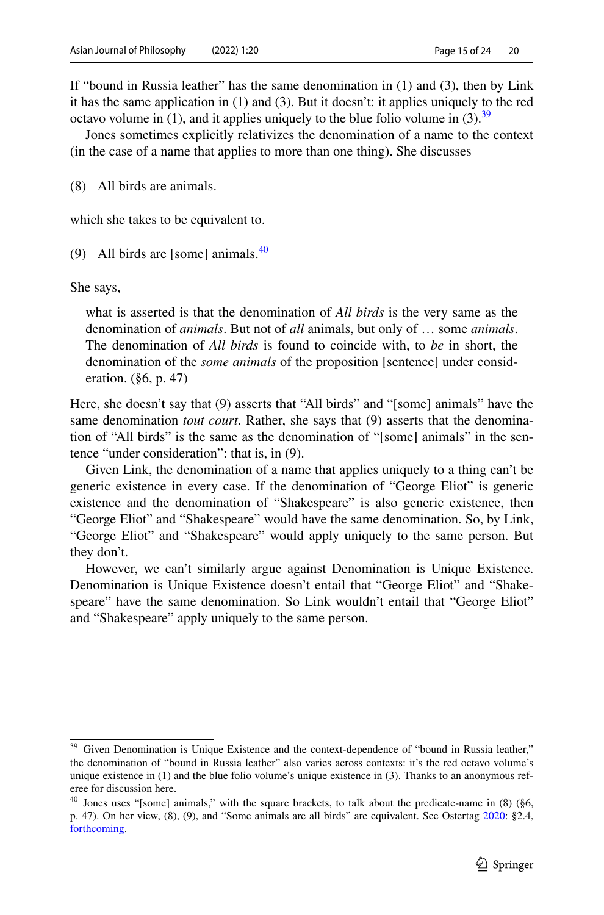If "bound in Russia leather" has the same denomination in (1) and (3), then by Link it has the same application in (1) and (3). But it doesn't: it applies uniquely to the red octavo volume in (1), and it applies uniquely to the blue folio volume in (3).<sup>39</sup>

Jones sometimes explicitly relativizes the denomination of a name to the context (in the case of a name that applies to more than one thing). She discusses

(8) All birds are animals.

which she takes to be equivalent to.

(9) All birds are [some] animals. $40$ 

She says,

what is asserted is that the denomination of *All birds* is the very same as the denomination of *animals*. But not of *all* animals, but only of … some *animals*. The denomination of *All birds* is found to coincide with, to *be* in short, the denomination of the *some animals* of the proposition [sentence] under consideration. (§6, p. 47)

Here, she doesn't say that (9) asserts that "All birds" and "[some] animals" have the same denomination *tout court*. Rather, she says that (9) asserts that the denomination of "All birds" is the same as the denomination of "[some] animals" in the sentence "under consideration": that is, in (9).

Given Link, the denomination of a name that applies uniquely to a thing can't be generic existence in every case. If the denomination of "George Eliot" is generic existence and the denomination of "Shakespeare" is also generic existence, then "George Eliot" and "Shakespeare" would have the same denomination. So, by Link, "George Eliot" and "Shakespeare" would apply uniquely to the same person. But they don't.

However, we can't similarly argue against Denomination is Unique Existence. Denomination is Unique Existence doesn't entail that "George Eliot" and "Shakespeare" have the same denomination. So Link wouldn't entail that "George Eliot" and "Shakespeare" apply uniquely to the same person.

<span id="page-14-0"></span><sup>&</sup>lt;sup>39</sup> Given Denomination is Unique Existence and the context-dependence of "bound in Russia leather," the denomination of "bound in Russia leather" also varies across contexts: it's the red octavo volume's unique existence in (1) and the blue folio volume's unique existence in (3). Thanks to an anonymous referee for discussion here.

<span id="page-14-1"></span><sup>&</sup>lt;sup>40</sup> Jones uses "[some] animals," with the square brackets, to talk about the predicate-name in (8) (§6, p. 47). On her view, (8), (9), and "Some animals are all birds" are equivalent. See Ostertag [2020:](#page-22-0) §2.4, [forthcoming.](#page-22-17)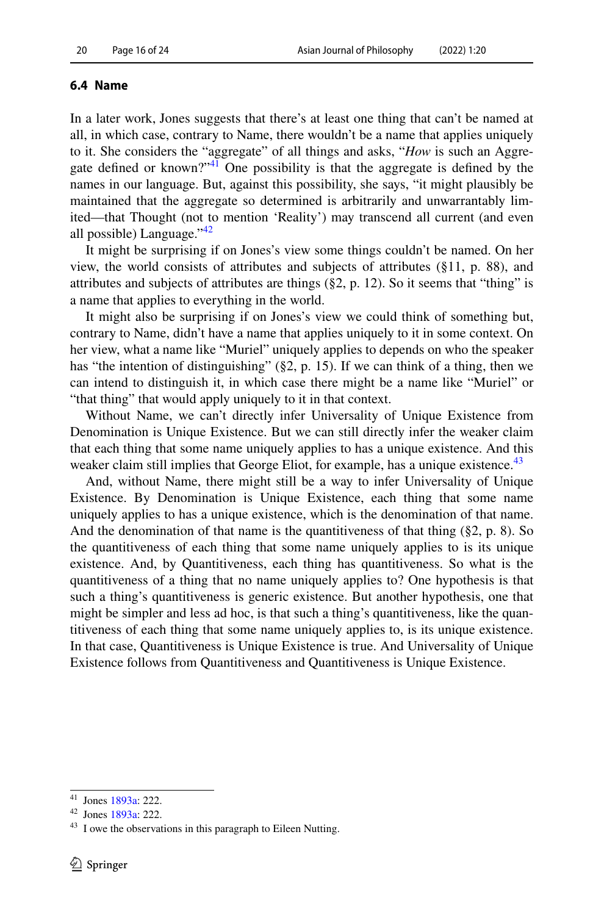#### <span id="page-15-0"></span>**6.4 Name**

In a later work, Jones suggests that there's at least one thing that can't be named at all, in which case, contrary to Name, there wouldn't be a name that applies uniquely to it. She considers the "aggregate" of all things and asks, "*How* is such an Aggregate defned or known?"[41](#page-15-1) One possibility is that the aggregate is defned by the names in our language. But, against this possibility, she says, "it might plausibly be maintained that the aggregate so determined is arbitrarily and unwarrantably limited—that Thought (not to mention 'Reality') may transcend all current (and even all possible) Language."[42](#page-15-2)

It might be surprising if on Jones's view some things couldn't be named. On her view, the world consists of attributes and subjects of attributes (§11, p. 88), and attributes and subjects of attributes are things  $(\S 2, p. 12)$ . So it seems that "thing" is a name that applies to everything in the world.

It might also be surprising if on Jones's view we could think of something but, contrary to Name, didn't have a name that applies uniquely to it in some context. On her view, what a name like "Muriel" uniquely applies to depends on who the speaker has "the intention of distinguishing" (§2, p. 15). If we can think of a thing, then we can intend to distinguish it, in which case there might be a name like "Muriel" or "that thing" that would apply uniquely to it in that context.

Without Name, we can't directly infer Universality of Unique Existence from Denomination is Unique Existence. But we can still directly infer the weaker claim that each thing that some name uniquely applies to has a unique existence. And this weaker claim still implies that George Eliot, for example, has a unique existence.<sup>[43](#page-15-3)</sup>

And, without Name, there might still be a way to infer Universality of Unique Existence. By Denomination is Unique Existence, each thing that some name uniquely applies to has a unique existence, which is the denomination of that name. And the denomination of that name is the quantitiveness of that thing  $(\S 2, p. 8)$ . So the quantitiveness of each thing that some name uniquely applies to is its unique existence. And, by Quantitiveness, each thing has quantitiveness. So what is the quantitiveness of a thing that no name uniquely applies to? One hypothesis is that such a thing's quantitiveness is generic existence. But another hypothesis, one that might be simpler and less ad hoc, is that such a thing's quantitiveness, like the quantitiveness of each thing that some name uniquely applies to, is its unique existence. In that case, Quantitiveness is Unique Existence is true. And Universality of Unique Existence follows from Quantitiveness and Quantitiveness is Unique Existence.

<span id="page-15-1"></span><sup>41</sup> Jones [1893a:](#page-21-5) 222.

<span id="page-15-2"></span><sup>42</sup> Jones [1893a:](#page-21-5) 222.

<span id="page-15-3"></span> $43$  I owe the observations in this paragraph to Eileen Nutting.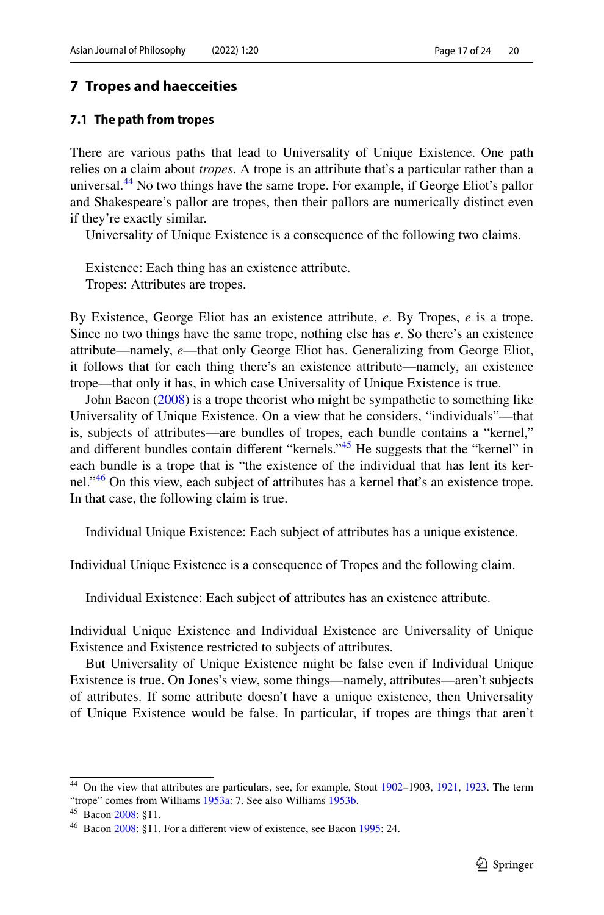### <span id="page-16-0"></span>**7 Tropes and haecceities**

#### <span id="page-16-1"></span>**7.1 The path from tropes**

There are various paths that lead to Universality of Unique Existence. One path relies on a claim about *tropes*. A trope is an attribute that's a particular rather than a universal.<sup>44</sup> No two things have the same trope. For example, if George Eliot's pallor and Shakespeare's pallor are tropes, then their pallors are numerically distinct even if they're exactly similar.

Universality of Unique Existence is a consequence of the following two claims.

Existence: Each thing has an existence attribute. Tropes: Attributes are tropes.

By Existence, George Eliot has an existence attribute, *e*. By Tropes, *e* is a trope. Since no two things have the same trope, nothing else has *e*. So there's an existence attribute—namely, *e*—that only George Eliot has. Generalizing from George Eliot, it follows that for each thing there's an existence attribute—namely, an existence trope—that only it has, in which case Universality of Unique Existence is true.

John Bacon ([2008\)](#page-22-13) is a trope theorist who might be sympathetic to something like Universality of Unique Existence. On a view that he considers, "individuals"—that is, subjects of attributes—are bundles of tropes, each bundle contains a "kernel," and different bundles contain different "kernels."<sup>45</sup> He suggests that the "kernel" in each bundle is a trope that is "the existence of the individual that has lent its kernel."<sup>46</sup> On this view, each subject of attributes has a kernel that's an existence trope. In that case, the following claim is true.

Individual Unique Existence: Each subject of attributes has a unique existence.

Individual Unique Existence is a consequence of Tropes and the following claim.

Individual Existence: Each subject of attributes has an existence attribute.

Individual Unique Existence and Individual Existence are Universality of Unique Existence and Existence restricted to subjects of attributes.

But Universality of Unique Existence might be false even if Individual Unique Existence is true. On Jones's view, some things—namely, attributes—aren't subjects of attributes. If some attribute doesn't have a unique existence, then Universality of Unique Existence would be false. In particular, if tropes are things that aren't

<span id="page-16-2"></span><sup>44</sup> On the view that attributes are particulars, see, for example, Stout [1902](#page-22-18)–1903, [1921,](#page-22-19) [1923](#page-22-20). The term "trope" comes from Williams [1953a](#page-23-3): 7. See also Williams [1953b](#page-23-4).

<span id="page-16-3"></span><sup>45</sup> Bacon [2008](#page-22-13): §11.

<span id="page-16-4"></span><sup>&</sup>lt;sup>46</sup> Bacon [2008](#page-22-13): §11. For a different view of existence, see Bacon [1995](#page-22-21): 24.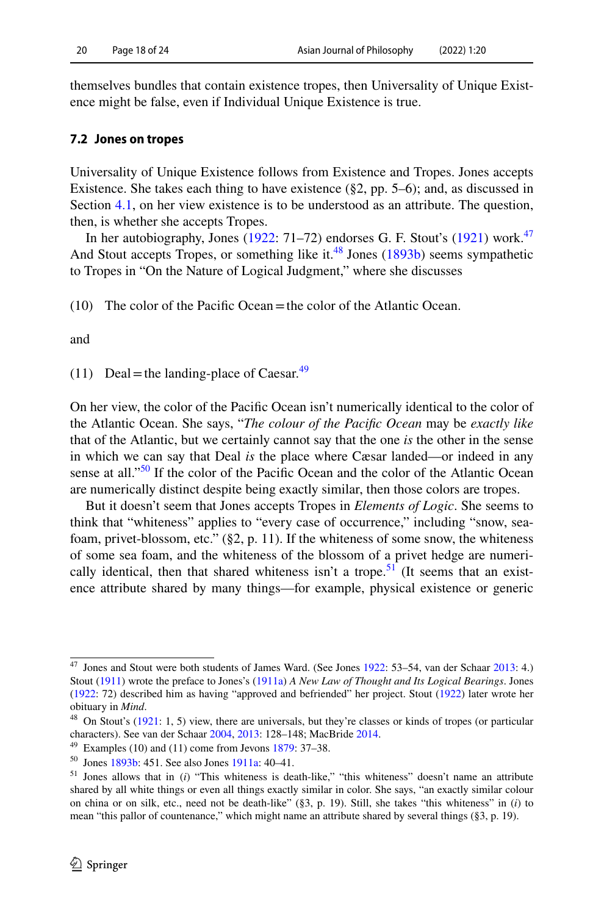themselves bundles that contain existence tropes, then Universality of Unique Existence might be false, even if Individual Unique Existence is true.

### **7.2 Jones on tropes**

Universality of Unique Existence follows from Existence and Tropes. Jones accepts Existence. She takes each thing to have existence  $(\S 2, pp. 5-6)$ ; and, as discussed in Section [4.1](#page-6-1), on her view existence is to be understood as an attribute. The question, then, is whether she accepts Tropes.

In her autobiography, Jones [\(1922](#page-21-0): 71-72) endorses G. F. Stout's [\(1921](#page-22-22)) work.<sup>[47](#page-17-0)</sup> And Stout accepts Tropes, or something like it.<sup>48</sup> Jones [\(1893b](#page-21-2)) seems sympathetic to Tropes in "On the Nature of Logical Judgment," where she discusses

(10) The color of the Pacifc Ocean=the color of the Atlantic Ocean.

and

(11) Deal = the landing-place of Caesar.<sup>[49](#page-17-2)</sup>

On her view, the color of the Pacifc Ocean isn't numerically identical to the color of the Atlantic Ocean. She says, "*The colour of the Pacifc Ocean* may be *exactly like* that of the Atlantic, but we certainly cannot say that the one *is* the other in the sense in which we can say that Deal *is* the place where Cæsar landed—or indeed in any sense at all."<sup>50</sup> If the color of the Pacific Ocean and the color of the Atlantic Ocean are numerically distinct despite being exactly similar, then those colors are tropes.

But it doesn't seem that Jones accepts Tropes in *Elements of Logic*. She seems to think that "whiteness" applies to "every case of occurrence," including "snow, seafoam, privet-blossom, etc." (§2, p. 11). If the whiteness of some snow, the whiteness of some sea foam, and the whiteness of the blossom of a privet hedge are numeri-cally identical, then that shared whiteness isn't a trope.<sup>[51](#page-17-4)</sup> (It seems that an existence attribute shared by many things—for example, physical existence or generic

<span id="page-17-0"></span><sup>47</sup> Jones and Stout were both students of James Ward. (See Jones [1922](#page-21-0): 53–54, van der Schaar [2013](#page-22-23): 4.) Stout ([1911\)](#page-22-24) wrote the preface to Jones's ([1911a](#page-21-3)) *A New Law of Thought and Its Logical Bearings*. Jones ([1922:](#page-21-0) 72) described him as having "approved and befriended" her project. Stout ([1922\)](#page-22-19) later wrote her obituary in *Mind*.

<span id="page-17-1"></span><sup>&</sup>lt;sup>48</sup> On Stout's ([1921:](#page-22-22) 1, 5) view, there are universals, but they're classes or kinds of tropes (or particular characters). See van der Schaar [2004,](#page-22-25) [2013:](#page-22-23) 128–148; MacBride [2014](#page-22-26).

<span id="page-17-2"></span> $49$  Examples (10) and (11) come from Jevons [1879](#page-22-14): 37-38.

<span id="page-17-3"></span><sup>50</sup> Jones [1893b](#page-21-2): 451. See also Jones [1911a](#page-21-3): 40–41.

<span id="page-17-4"></span><sup>51</sup> Jones allows that in (*i*) "This whiteness is death-like," "this whiteness" doesn't name an attribute shared by all white things or even all things exactly similar in color. She says, "an exactly similar colour on china or on silk, etc., need not be death-like" (§3, p. 19). Still, she takes "this whiteness" in (*i*) to mean "this pallor of countenance," which might name an attribute shared by several things (§3, p. 19).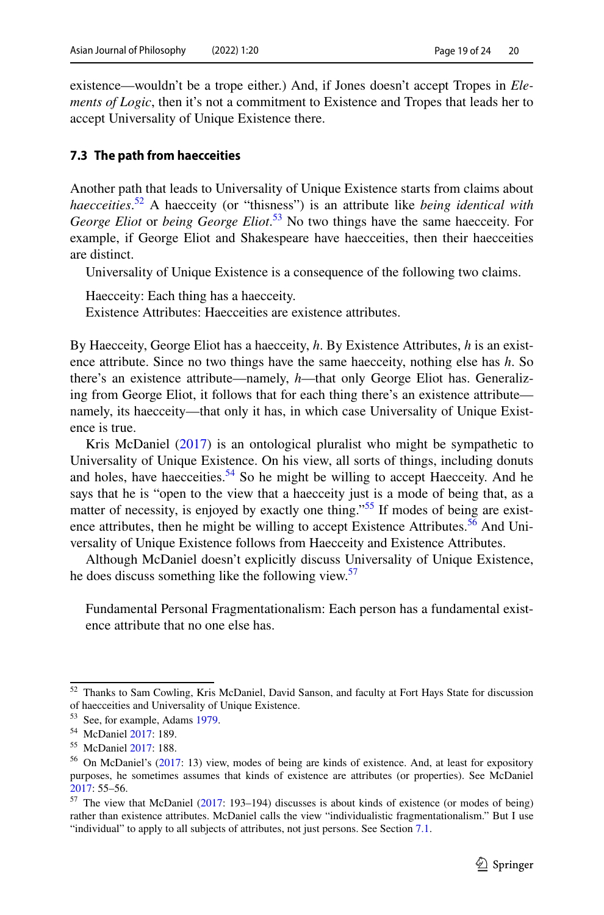existence—wouldn't be a trope either.) And, if Jones doesn't accept Tropes in *Elements of Logic*, then it's not a commitment to Existence and Tropes that leads her to accept Universality of Unique Existence there.

### <span id="page-18-0"></span>**7.3 The path from haecceities**

Another path that leads to Universality of Unique Existence starts from claims about *haecceities*. [52](#page-18-1) A haecceity (or "thisness") is an attribute like *being identical with George Eliot* or *being George Eliot*. [53](#page-18-2) No two things have the same haecceity. For example, if George Eliot and Shakespeare have haecceities, then their haecceities are distinct.

Universality of Unique Existence is a consequence of the following two claims.

Haecceity: Each thing has a haecceity.

Existence Attributes: Haecceities are existence attributes.

By Haecceity, George Eliot has a haecceity, *h*. By Existence Attributes, *h* is an existence attribute. Since no two things have the same haecceity, nothing else has *h*. So there's an existence attribute—namely, *h*—that only George Eliot has. Generalizing from George Eliot, it follows that for each thing there's an existence attribute namely, its haecceity—that only it has, in which case Universality of Unique Existence is true.

Kris McDaniel ([2017\)](#page-22-8) is an ontological pluralist who might be sympathetic to Universality of Unique Existence. On his view, all sorts of things, including donuts and holes, have haecceities.<sup>[54](#page-18-3)</sup> So he might be willing to accept Haecceity. And he says that he is "open to the view that a haecceity just is a mode of being that, as a matter of necessity, is enjoyed by exactly one thing."<sup>55</sup> If modes of being are exist-ence attributes, then he might be willing to accept Existence Attributes.<sup>[56](#page-18-5)</sup> And Universality of Unique Existence follows from Haecceity and Existence Attributes.

Although McDaniel doesn't explicitly discuss Universality of Unique Existence, he does discuss something like the following view.<sup>[57](#page-18-6)</sup>

Fundamental Personal Fragmentationalism: Each person has a fundamental existence attribute that no one else has.

<span id="page-18-1"></span><sup>52</sup> Thanks to Sam Cowling, Kris McDaniel, David Sanson, and faculty at Fort Hays State for discussion of haecceities and Universality of Unique Existence.

<span id="page-18-2"></span><sup>53</sup> See, for example, Adams [1979.](#page-22-27)

<span id="page-18-3"></span><sup>54</sup> McDaniel [2017:](#page-22-8) 189.

<span id="page-18-4"></span><sup>55</sup> McDaniel [2017:](#page-22-8) 188.

<span id="page-18-5"></span><sup>&</sup>lt;sup>56</sup> On McDaniel's ([2017:](#page-22-8) 13) view, modes of being are kinds of existence. And, at least for expository purposes, he sometimes assumes that kinds of existence are attributes (or properties). See McDaniel [2017](#page-22-8): 55–56.

<span id="page-18-6"></span><sup>57</sup> The view that McDaniel ([2017:](#page-22-8) 193–194) discusses is about kinds of existence (or modes of being) rather than existence attributes. McDaniel calls the view "individualistic fragmentationalism." But I use "individual" to apply to all subjects of attributes, not just persons. See Section [7.1.](#page-16-1)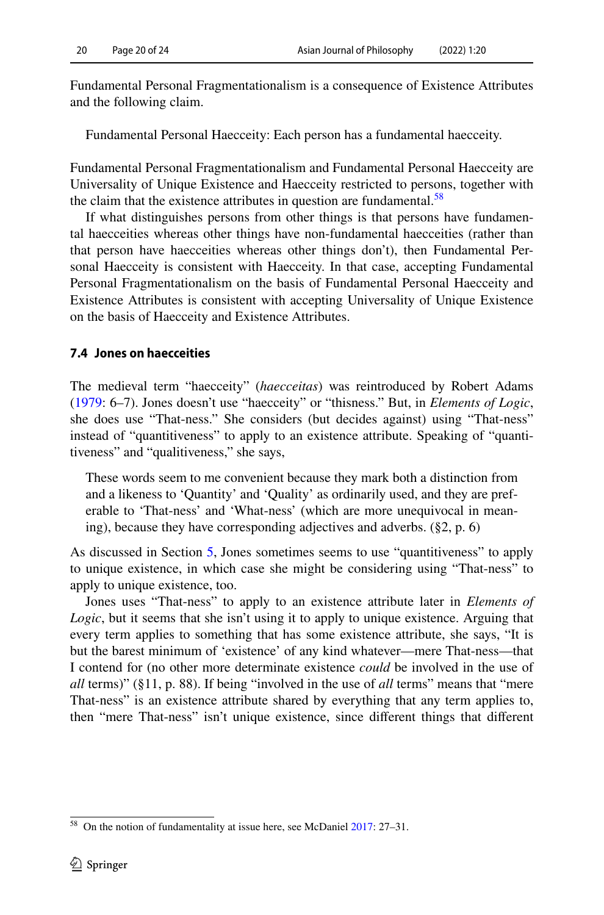Fundamental Personal Fragmentationalism is a consequence of Existence Attributes and the following claim.

Fundamental Personal Haecceity: Each person has a fundamental haecceity.

Fundamental Personal Fragmentationalism and Fundamental Personal Haecceity are Universality of Unique Existence and Haecceity restricted to persons, together with the claim that the existence attributes in question are fundamental.<sup>[58](#page-19-1)</sup>

If what distinguishes persons from other things is that persons have fundamental haecceities whereas other things have non-fundamental haecceities (rather than that person have haecceities whereas other things don't), then Fundamental Personal Haecceity is consistent with Haecceity. In that case, accepting Fundamental Personal Fragmentationalism on the basis of Fundamental Personal Haecceity and Existence Attributes is consistent with accepting Universality of Unique Existence on the basis of Haecceity and Existence Attributes.

### <span id="page-19-0"></span>**7.4 Jones on haecceities**

The medieval term "haecceity" (*haecceitas*) was reintroduced by Robert Adams [\(1979](#page-22-27): 6–7). Jones doesn't use "haecceity" or "thisness." But, in *Elements of Logic*, she does use "That-ness." She considers (but decides against) using "That-ness" instead of "quantitiveness" to apply to an existence attribute. Speaking of "quantitiveness" and "qualitiveness," she says,

These words seem to me convenient because they mark both a distinction from and a likeness to 'Quantity' and 'Quality' as ordinarily used, and they are preferable to 'That-ness' and 'What-ness' (which are more unequivocal in meaning), because they have corresponding adjectives and adverbs. (§2, p. 6)

As discussed in Section [5,](#page-9-0) Jones sometimes seems to use "quantitiveness" to apply to unique existence, in which case she might be considering using "That-ness" to apply to unique existence, too.

Jones uses "That-ness" to apply to an existence attribute later in *Elements of Logic*, but it seems that she isn't using it to apply to unique existence. Arguing that every term applies to something that has some existence attribute, she says, "It is but the barest minimum of 'existence' of any kind whatever—mere That-ness—that I contend for (no other more determinate existence *could* be involved in the use of *all* terms)" (§11, p. 88). If being "involved in the use of *all* terms" means that "mere That-ness" is an existence attribute shared by everything that any term applies to, then "mere That-ness" isn't unique existence, since diferent things that diferent

<span id="page-19-1"></span><sup>58</sup> On the notion of fundamentality at issue here, see McDaniel [2017:](#page-22-8) 27–31.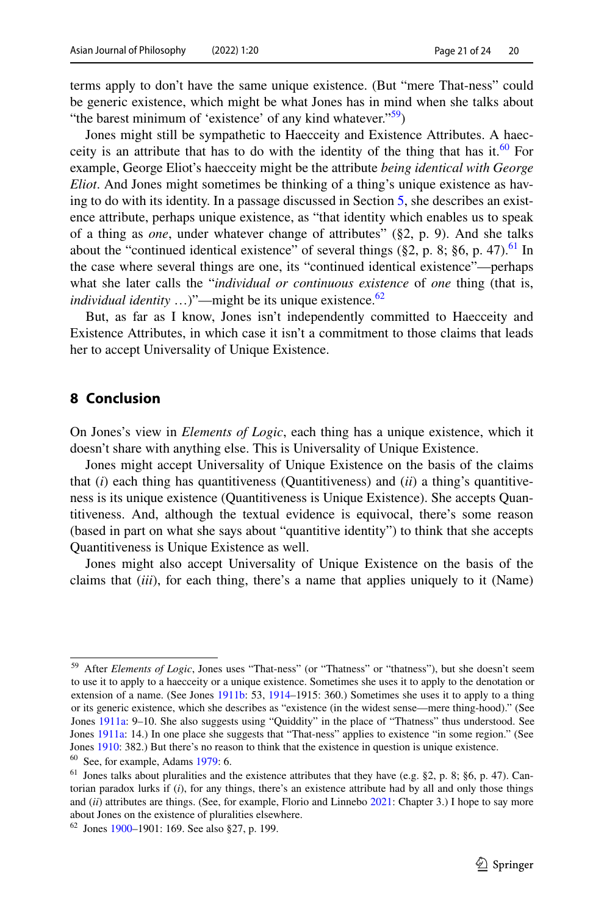terms apply to don't have the same unique existence. (But "mere That-ness" could be generic existence, which might be what Jones has in mind when she talks about "the barest minimum of 'existence' of any kind whatever." $59$ )

Jones might still be sympathetic to Haecceity and Existence Attributes. A haecceity is an attribute that has to do with the identity of the thing that has it.<sup>60</sup> For example, George Eliot's haecceity might be the attribute *being identical with George Eliot*. And Jones might sometimes be thinking of a thing's unique existence as having to do with its identity. In a passage discussed in Section [5](#page-9-0), she describes an existence attribute, perhaps unique existence, as "that identity which enables us to speak of a thing as *one*, under whatever change of attributes" (§2, p. 9). And she talks about the "continued identical existence" of several things ( $\S$ 2, p. 8;  $\S$ 6, p. 47).<sup>61</sup> In the case where several things are one, its "continued identical existence"—perhaps what she later calls the "*individual or continuous existence* of *one* thing (that is, *individual identity* ...)"—might be its unique existence. $62$ 

But, as far as I know, Jones isn't independently committed to Haecceity and Existence Attributes, in which case it isn't a commitment to those claims that leads her to accept Universality of Unique Existence.

# **8 Conclusion**

On Jones's view in *Elements of Logic*, each thing has a unique existence, which it doesn't share with anything else. This is Universality of Unique Existence.

Jones might accept Universality of Unique Existence on the basis of the claims that (*i*) each thing has quantitiveness (Quantitiveness) and (*ii*) a thing's quantitiveness is its unique existence (Quantitiveness is Unique Existence). She accepts Quantitiveness. And, although the textual evidence is equivocal, there's some reason (based in part on what she says about "quantitive identity") to think that she accepts Quantitiveness is Unique Existence as well.

Jones might also accept Universality of Unique Existence on the basis of the claims that (*iii*), for each thing, there's a name that applies uniquely to it (Name)

<span id="page-20-0"></span><sup>59</sup> After *Elements of Logic*, Jones uses "That-ness" (or "Thatness" or "thatness"), but she doesn't seem to use it to apply to a haecceity or a unique existence. Sometimes she uses it to apply to the denotation or extension of a name. (See Jones [1911b](#page-21-8): 53, [1914](#page-21-9)–1915: 360.) Sometimes she uses it to apply to a thing or its generic existence, which she describes as "existence (in the widest sense—mere thing-hood)." (See Jones [1911a](#page-21-3): 9–10. She also suggests using "Quiddity" in the place of "Thatness" thus understood. See Jones [1911a:](#page-21-3) 14.) In one place she suggests that "That-ness" applies to existence "in some region." (See Jones [1910:](#page-21-10) 382.) But there's no reason to think that the existence in question is unique existence.

<span id="page-20-1"></span> $60$  See, for example, Adams [1979:](#page-22-27) 6.

<span id="page-20-2"></span><sup>61</sup> Jones talks about pluralities and the existence attributes that they have (e.g. §2, p. 8; §6, p. 47). Cantorian paradox lurks if (*i*), for any things, there's an existence attribute had by all and only those things and (*ii*) attributes are things. (See, for example, Florio and Linnebo [2021:](#page-22-28) Chapter 3.) I hope to say more about Jones on the existence of pluralities elsewhere.

<span id="page-20-3"></span> $62$  Jones [1900](#page-21-11)–1901: 169. See also §27, p. 199.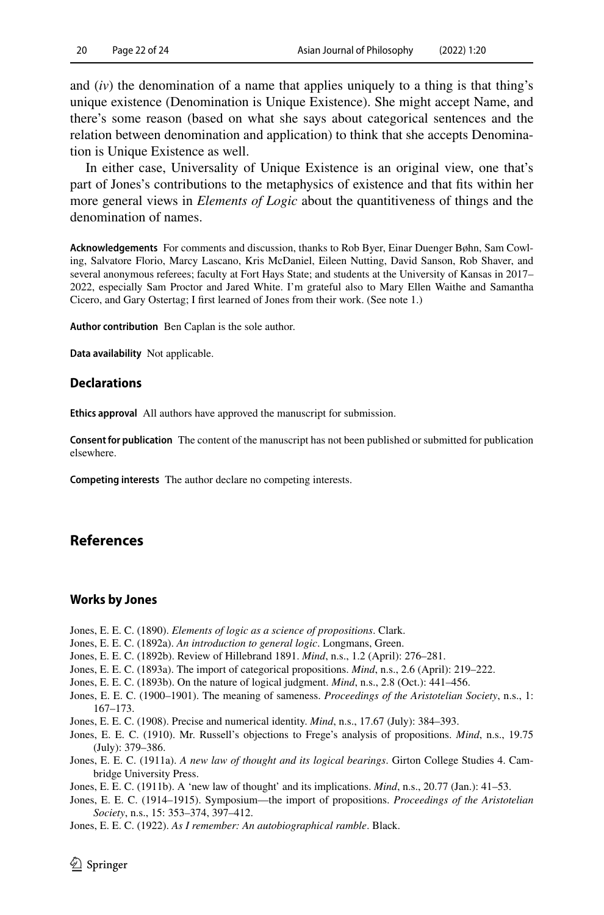and (*iv*) the denomination of a name that applies uniquely to a thing is that thing's unique existence (Denomination is Unique Existence). She might accept Name, and there's some reason (based on what she says about categorical sentences and the relation between denomination and application) to think that she accepts Denomination is Unique Existence as well.

In either case, Universality of Unique Existence is an original view, one that's part of Jones's contributions to the metaphysics of existence and that fts within her more general views in *Elements of Logic* about the quantitiveness of things and the denomination of names.

**Acknowledgements** For comments and discussion, thanks to Rob Byer, Einar Duenger Bøhn, Sam Cowling, Salvatore Florio, Marcy Lascano, Kris McDaniel, Eileen Nutting, David Sanson, Rob Shaver, and several anonymous referees; faculty at Fort Hays State; and students at the University of Kansas in 2017– 2022, especially Sam Proctor and Jared White. I'm grateful also to Mary Ellen Waithe and Samantha Cicero, and Gary Ostertag; I frst learned of Jones from their work. (See note 1.)

**Author contribution** Ben Caplan is the sole author.

**Data availability** Not applicable.

### **Declarations**

**Ethics approval** All authors have approved the manuscript for submission.

**Consent for publication** The content of the manuscript has not been published or submitted for publication elsewhere.

**Competing interests** The author declare no competing interests.

### **References**

#### **Works by Jones**

- <span id="page-21-1"></span>Jones, E. E. C. (1890). *Elements of logic as a science of propositions*. Clark.
- <span id="page-21-4"></span>Jones, E. E. C. (1892a). *An introduction to general logic*. Longmans, Green.
- <span id="page-21-6"></span>Jones, E. E. C. (1892b). Review of Hillebrand 1891. *Mind*, n.s., 1.2 (April): 276–281.
- <span id="page-21-5"></span>Jones, E. E. C. (1893a). The import of categorical propositions. *Mind*, n.s., 2.6 (April): 219–222.
- <span id="page-21-2"></span>Jones, E. E. C. (1893b). On the nature of logical judgment. *Mind*, n.s., 2.8 (Oct.): 441–456.
- <span id="page-21-11"></span>Jones, E. E. C. (1900–1901). The meaning of sameness. *Proceedings of the Aristotelian Society*, n.s., 1: 167–173.
- <span id="page-21-7"></span>Jones, E. E. C. (1908). Precise and numerical identity. *Mind*, n.s., 17.67 (July): 384–393.
- <span id="page-21-10"></span>Jones, E. E. C. (1910). Mr. Russell's objections to Frege's analysis of propositions. *Mind*, n.s., 19.75 (July): 379–386.
- <span id="page-21-3"></span>Jones, E. E. C. (1911a). *A new law of thought and its logical bearings*. Girton College Studies 4. Cambridge University Press.
- <span id="page-21-8"></span>Jones, E. E. C. (1911b). A 'new law of thought' and its implications. *Mind*, n.s., 20.77 (Jan.): 41–53.
- <span id="page-21-9"></span>Jones, E. E. C. (1914–1915). Symposium—the import of propositions. *Proceedings of the Aristotelian Society*, n.s., 15: 353–374, 397–412.
- <span id="page-21-0"></span>Jones, E. E. C. (1922). *As I remember: An autobiographical ramble*. Black.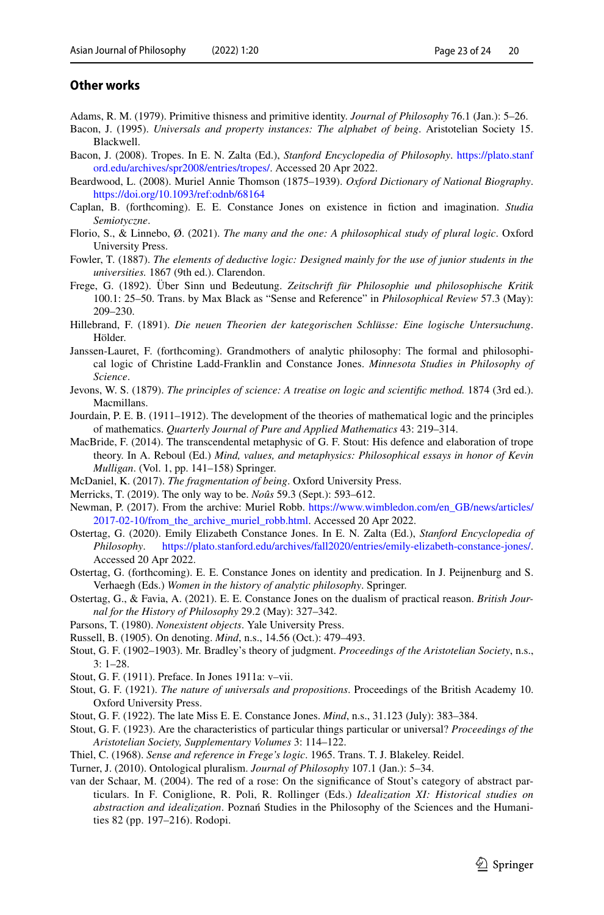### **Other works**

- <span id="page-22-27"></span>Adams, R. M. (1979). Primitive thisness and primitive identity. *Journal of Philosophy* 76.1 (Jan.): 5–26.
- <span id="page-22-21"></span>Bacon, J. (1995). *Universals and property instances: The alphabet of being*. Aristotelian Society 15. Blackwell.
- <span id="page-22-13"></span>Bacon, J. (2008). Tropes. In E. N. Zalta (Ed.), *Stanford Encyclopedia of Philosophy*. [https://plato.stanf](https://plato.stanford.edu/archives/spr2008/entries/tropes/) [ord.edu/archives/spr2008/entries/tropes/](https://plato.stanford.edu/archives/spr2008/entries/tropes/). Accessed 20 Apr 2022.
- <span id="page-22-4"></span>Beardwood, L. (2008). Muriel Annie Thomson (1875–1939). *Oxford Dictionary of National Biography*. <https://doi.org/10.1093/ref:odnb/68164>
- <span id="page-22-9"></span>Caplan, B. (forthcoming). E. E. Constance Jones on existence in fction and imagination. *Studia Semiotyczne*.
- <span id="page-22-28"></span>Florio, S., & Linnebo, Ø. (2021). *The many and the one: A philosophical study of plural logic*. Oxford University Press.
- <span id="page-22-10"></span>Fowler, T. (1887). *The elements of deductive logic: Designed mainly for the use of junior students in the universities.* 1867 (9th ed.). Clarendon.
- <span id="page-22-16"></span>Frege, G. (1892). Über Sinn und Bedeutung. *Zeitschrift für Philosophie und philosophische Kritik* 100.1: 25–50. Trans. by Max Black as "Sense and Reference" in *Philosophical Review* 57.3 (May): 209–230.
- <span id="page-22-15"></span>Hillebrand, F. (1891). *Die neuen Theorien der kategorischen Schlüsse: Eine logische Untersuchung*. Hölder.
- <span id="page-22-2"></span>Janssen-Lauret, F. (forthcoming). Grandmothers of analytic philosophy: The formal and philosophical logic of Christine Ladd-Franklin and Constance Jones. *Minnesota Studies in Philosophy of Science*.
- <span id="page-22-14"></span>Jevons, W. S. (1879). *The principles of science: A treatise on logic and scientifc method.* 1874 (3rd ed.). Macmillans.
- <span id="page-22-5"></span>Jourdain, P. E. B. (1911–1912). The development of the theories of mathematical logic and the principles of mathematics. *Quarterly Journal of Pure and Applied Mathematics* 43: 219–314.
- <span id="page-22-26"></span>MacBride, F. (2014). The transcendental metaphysic of G. F. Stout: His defence and elaboration of trope theory. In A. Reboul (Ed.) *Mind, values, and metaphysics: Philosophical essays in honor of Kevin Mulligan*. (Vol. 1, pp. 141–158) Springer.
- <span id="page-22-8"></span>McDaniel, K. (2017). *The fragmentation of being*. Oxford University Press.
- <span id="page-22-12"></span>Merricks, T. (2019). The only way to be. *Noûs* 59.3 (Sept.): 593–612.
- <span id="page-22-3"></span>Newman, P. (2017). From the archive: Muriel Robb. [https://www.wimbledon.com/en\\_GB/news/articles/](https://www.wimbledon.com/en_GB/news/articles/2017-02-10/from_the_archive_muriel_robb.html) [2017-02-10/from\\_the\\_archive\\_muriel\\_robb.html](https://www.wimbledon.com/en_GB/news/articles/2017-02-10/from_the_archive_muriel_robb.html). Accessed 20 Apr 2022.
- <span id="page-22-0"></span>Ostertag, G. (2020). Emily Elizabeth Constance Jones. In E. N. Zalta (Ed.), *Stanford Encyclopedia of Philosophy*. <https://plato.stanford.edu/archives/fall2020/entries/emily-elizabeth-constance-jones/>. Accessed 20 Apr 2022.
- <span id="page-22-17"></span>Ostertag, G. (forthcoming). E. E. Constance Jones on identity and predication. In J. Peijnenburg and S. Verhaegh (Eds.) *Women in the history of analytic philosophy*. Springer.
- <span id="page-22-1"></span>Ostertag, G., & Favia, A. (2021). E. E. Constance Jones on the dualism of practical reason. *British Journal for the History of Philosophy* 29.2 (May): 327–342.
- <span id="page-22-11"></span>Parsons, T. (1980). *Nonexistent objects*. Yale University Press.
- <span id="page-22-18"></span>Russell, B. (1905). On denoting. *Mind*, n.s., 14.56 (Oct.): 479–493.
- <span id="page-22-24"></span>Stout, G. F. (1902–1903). Mr. Bradley's theory of judgment. *Proceedings of the Aristotelian Society*, n.s., 3: 1–28.
- <span id="page-22-22"></span>Stout, G. F. (1911). Preface. In Jones 1911a: v–vii.
- <span id="page-22-19"></span>Stout, G. F. (1921). *The nature of universals and propositions*. Proceedings of the British Academy 10. Oxford University Press.
- <span id="page-22-20"></span>Stout, G. F. (1922). The late Miss E. E. Constance Jones. *Mind*, n.s., 31.123 (July): 383–384.
- <span id="page-22-6"></span>Stout, G. F. (1923). Are the characteristics of particular things particular or universal? *Proceedings of the Aristotelian Society, Supplementary Volumes* 3: 114–122.
- <span id="page-22-7"></span>Thiel, C. (1968). *Sense and reference in Frege's logic*. 1965. Trans. T. J. Blakeley. Reidel.
- <span id="page-22-25"></span>Turner, J. (2010). Ontological pluralism. *Journal of Philosophy* 107.1 (Jan.): 5–34.
- <span id="page-22-23"></span>van der Schaar, M. (2004). The red of a rose: On the signifcance of Stout's category of abstract particulars. In F. Coniglione, R. Poli, R. Rollinger (Eds.) *Idealization XI: Historical studies on abstraction and idealization*. Poznań Studies in the Philosophy of the Sciences and the Humanities 82 (pp. 197–216). Rodopi.